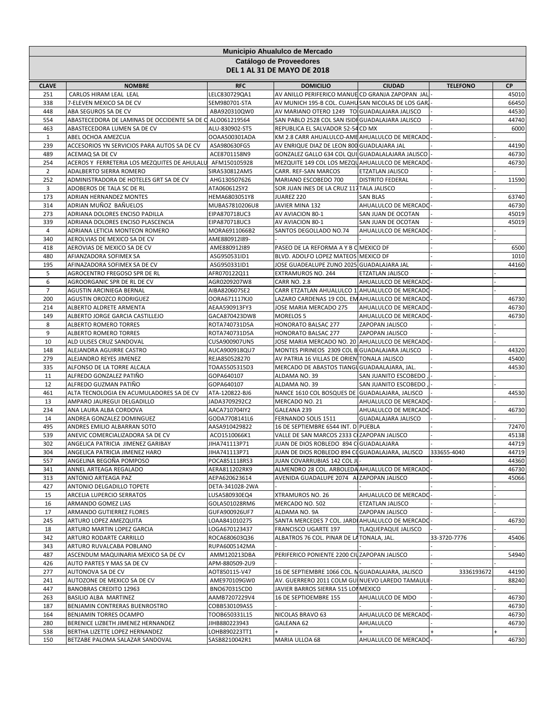| Municipio Ahualulco de Mercado<br>Catálogo de Proveedores |                                                                   |                                |                                                                                     |                         |                 |                |  |
|-----------------------------------------------------------|-------------------------------------------------------------------|--------------------------------|-------------------------------------------------------------------------------------|-------------------------|-----------------|----------------|--|
|                                                           |                                                                   |                                | <b>DEL 1 AL 31 DE MAYO DE 2018</b>                                                  |                         |                 |                |  |
| <b>CLAVE</b>                                              | <b>NOMBRE</b>                                                     | <b>RFC</b>                     | <b>DOMICILIO</b>                                                                    | <b>CIUDAD</b>           | <b>TELEFONO</b> | <b>CP</b>      |  |
| 251                                                       | CARLOS HIRAM LEAL LEAL                                            | LELC830729QA1                  | AV ANILLO PERIFERICO MANUE CD GRANJA ZAPOPAN JAL                                    |                         |                 | 45010          |  |
| 338                                                       | 7-ELEVEN MEXICO SA DE CV                                          | SEM980701-STA                  | AV MUNICH 195-B COL. CUAHU SAN NICOLAS DE LOS GARI                                  |                         |                 | 66450          |  |
| 448                                                       | ABA SEGUROS SA DE CV                                              | ABA920310QW0                   | AV MARIANO OTERO 1249 TO GUADALAJARA JALISCO                                        |                         |                 | 44530          |  |
| 554                                                       | ABASTECEDORA DE LAMINAS DE OCCIDENTE SA DE C ALO061219564         |                                | SAN PABLO 2528 COL SAN ISIDI GUADALAJARA JALISCO                                    |                         |                 | 44740          |  |
| 463                                                       | ABASTECEDORA LUMEN SA DE CV                                       | ALU-830902-ST5                 | REPUBLICA EL SALVADOR 52-54 CD MX<br>KM 2.8 CARR AHUALULCO-AME AHUALULCO DE MERCADO |                         |                 | 6000           |  |
| $\mathbf{1}$<br>239                                       | ABEL OCHOA AMEZCUA<br>ACCESORIOS YN SERVICIOS PARA AUTOS SA DE CV | OOAA500301ADA<br>ASA980630FG5  | AV ENRIQUE DIAZ DE LEON 800 GUADLAJARA JAL                                          |                         |                 | 44190          |  |
| 489                                                       | ACEMAQ SA DE CV                                                   | ACE8701158N9                   | GONZALEZ GALLO 634 COL QUI GUADALALAJARA JALISCO                                    |                         |                 | 46730          |  |
| 254                                                       | ACEROS Y FERRETERIA LOS MEZQUITES DE AHULALU                      | AFM150105928                   | MEZQUITE 149 COL LOS MEZQUAHUALULCO DE MERCADO                                      |                         |                 | 46730          |  |
| $\overline{2}$                                            | ADALBERTO SIERRA ROMERO                                           | SIRA530812AM5                  | CARR. REF-SAN MARCOS                                                                | ETZATLAN JALISCO        |                 |                |  |
| 252                                                       | ADMINISTRADORA DE HOTELES GRT SA DE CV                            | AHG130507626                   | MARIANO ESCOBEDO 700                                                                | <b>DISTRITO FEDERAL</b> |                 | 11590          |  |
| 3                                                         | ADOBEROS DE TALA SC DE RL                                         | ATA060612SY2                   | SOR JUAN INES DE LA CRUZ 117 TALA JALISCO                                           |                         |                 |                |  |
| 173                                                       | ADRIAN HERNANDEZ MONTES                                           | HEMA6803051Y8                  | JUAREZ 220                                                                          | <b>SAN BLAS</b>         |                 | 63740          |  |
| 314                                                       | ADRIAN MUÑOZ BAÑUELOS                                             | MUBAS7810206U8                 | JAVIER MINA 132                                                                     | AHUALULCO DE MERCADO    |                 | 46730          |  |
| 273                                                       | ADRIANA DOLORES ENCISO PADILLA                                    | EIPA870718UC3                  | AV AVIACION 80-1                                                                    | SAN JUAN DE OCOTAN      |                 | 45019          |  |
| 339                                                       | ADRIANA DOLORES ENCISO PLASCENCIA                                 | EIPA870718UC3                  | AV AVIACION 80-1                                                                    | SAN JUAN DE OCOTAN      |                 | 45019          |  |
| $\overline{4}$                                            | ADRIANA LETICIA MONTEON ROMERO                                    | MORA6911066B2                  | SANTOS DEGOLLADO NO.74                                                              | AHUALULCO DE MERCADO    |                 |                |  |
| 340                                                       | AEROLVIAS DE MEXICO SA DE CV                                      | AME880912I89-                  |                                                                                     |                         |                 |                |  |
| 418                                                       | AEROVIAS DE MEXICO SA DE CV                                       | AME880912I89                   | PASEO DE LA REFORMA A Y B C MEXICO DF                                               |                         |                 | 6500           |  |
| 480                                                       | AFIANZADORA SOFIMEX SA                                            | ASG950531ID1                   | BLVD. ADOLFO LOPEZ MATEOS MEXICO DF                                                 |                         |                 | 1010           |  |
| 195                                                       | AFINAZADORA SOFIMEX SA DE CV                                      | ASG950331ID1                   | JOSE GUADEALUPE ZUNO 2025 GUADALAJARA JAL                                           |                         |                 | 44160          |  |
| 5<br>6                                                    | AGROCENTRO FREGOSO SPR DE RL<br>AGROORGANIC SPR DE RL DE CV       | AFR070122Q11                   | EXTRAMUROS NO. 244<br><b>CARR NO. 2.8</b>                                           | ETZATLAN JALISCO        |                 |                |  |
| $\overline{7}$                                            | AGUSTIN ARCINIEGA BERNAL                                          | AGR0209207W8<br>AIBA820607SE2  | CARR ETZATLAN AHUALULCO 1 AHUALULCO DE MERCADC                                      | AHUALULCO DE MERCADO    |                 |                |  |
| 200                                                       | AGUSTIN OROZCO RODRIGUEZ                                          | OORA671117KJ0                  | LAZARO CARDENAS 19 COL. EM AHUALULCO DE MERCADO                                     |                         |                 | 46730          |  |
| 214                                                       | ALBERTO ALDRETE ARMENTA                                           | AEAA590913FY3                  | JOSE MARIA MERCADO 275                                                              | AHUALULCO DE MERCADO    |                 | 46730          |  |
| 149                                                       | ALBERTO JORGE GARCIA CASTILLEJO                                   | GACA870423DW8                  | <b>MORELOS 5</b>                                                                    | AHUALULCO DE MERCADO    |                 | 46730          |  |
| 8                                                         | ALBERTO ROMERO TORRES                                             | ROTA740731D5A                  | HONORATO BALSAC 277                                                                 | ZAPOPAN JALISCO         |                 |                |  |
| 9                                                         | ALBERTO ROMERO TORRES                                             | ROTA740731D5A                  | HONORATO BALSAC 277                                                                 | ZAPOPAN JALISCO         |                 |                |  |
| 10                                                        | ALD ULISES CRUZ SANDOVAL                                          | CUSA900907UN5                  | JOSE MARIA MERCADO NO. 20 AHUALULCO DE MERCADO                                      |                         |                 |                |  |
| 148                                                       | ALEJANDRA AGUIRRE CASTRO                                          | AUCA900918QU7                  | MONTES PIRINEOS 2309 COL B GUADALAJARA JALISCO                                      |                         |                 | 44320          |  |
| 279                                                       | ALEJANDRO REYES JIMENEZ                                           | REJA850528270                  | AV PATRIA 16 VILLAS DE ORIEN TONALA JALISCO                                         |                         |                 | 45400          |  |
| 335                                                       | ALFONSO DE LA TORRE ALCALA                                        | TOAA5505315D3                  | MERCADO DE ABASTOS TIANGU GUADAALAJARA, JAL.                                        |                         |                 | 44530          |  |
| 11                                                        | ALFREDO GONZALEZ PATIÑO                                           | GOPA640107                     | ALDAMA NO. 39                                                                       | SAN JUANITO ESCOBEDO    |                 |                |  |
| 12                                                        | ALFREDO GUZMAN PATIÑO                                             | GOPA640107                     | ALDAMA NO. 39                                                                       | SAN JUANITO ESCOBEDO    |                 |                |  |
| 461                                                       | ALTA TECNOLOGIA EN ACUMULADORES SA DE CV                          | ATA-120822-BJ6                 | NANCE 1610 COL BOSQUES DE GUADALAJARA, JALISCO                                      |                         |                 | 44530          |  |
| 13                                                        | AMPARO JAUREGUI DELGADILLO                                        | JADA3709292C2                  | MERCADO NO. 21                                                                      | AHUALULCO DE MERCADO    |                 |                |  |
| 234                                                       | ANA LAURA ALBA CORDOVA                                            | AACA710704IY2                  | GALEANA 239                                                                         | AHUALULCO DE MERCADO    |                 | 46730          |  |
| 14<br>495                                                 | ANDREA GONZALEZ DOMINGUEZ<br>ANDRES EMILIO ALBARRAN SOTO          | GODA7708141L6<br>AASA910429822 | FERNANDO SOLIS 1511<br>16 DE SEPTIEMBRE 6544 INT. D PUEBLA                          | GUADALAJARA JALISCO     |                 | 72470          |  |
| 539                                                       | ANEVIC COMERCIALIZADORA SA DE CV                                  | ACO1510066K1                   | VALLE DE SAN MARCOS 2333 C ZAPOPAN JALISCO                                          |                         |                 | 45138          |  |
| 302                                                       | ANGELICA PATRICIA JIMENEZ GARIBAY                                 | JIHA741113P71                  | JUAN DE DIOS ROBLEDO 894 C GUADALAJARA                                              |                         |                 | 44719          |  |
| 304                                                       | ANGELICA PATRICIA JIMENEZ HARO                                    | JIHA741113P71                  | JUAN DE DIOS ROBLEDO 894 COGUADALAJARA, JALISCO                                     |                         | 333655-4040     | 44719          |  |
| 557                                                       | ANGELINA BEGOÑA POMPOSO                                           | POCA851118RS3                  | JUAN COVARRUBIAS 142 COL JU                                                         |                         |                 | 44360          |  |
| 341                                                       | ANNEL ARTEAGA REGALADO                                            | AERA811202RK9                  | ALMENDRO 28 COL. ARBOLEDA AHUALULCO DE MERCADO                                      |                         |                 | 46730          |  |
| 313                                                       | ANTONIO ARTEAGA PAZ                                               | AEPA620623614                  | AVENIDA GUADALUPE 2074 AI ZAPOPAN JALISCO                                           |                         |                 | 45066          |  |
| 427                                                       | ANTONIO DELGADILLO TOPETE                                         | DETA-341028-2WA                |                                                                                     |                         |                 |                |  |
| 15                                                        | ARCELIA LUPERCIO SERRATOS                                         | LUSA580930EQ4                  | XTRAMUROS NO. 26                                                                    | AHUALULCO DE MERCADO    |                 |                |  |
| 16                                                        | ARMANDO GOMEZ LIAS                                                | GOLA501028RM6                  | MERCADO NO. 502                                                                     | <b>ETZATLAN JALISCO</b> |                 |                |  |
| 17                                                        | ARMANDO GUTIERREZ FLORES                                          | GUFA900926UF7                  | ALDAMA NO. 9A                                                                       | ZAPOPAN JALISCO         |                 |                |  |
| 245                                                       | ARTURO LOPEZ AMEZQUITA                                            | LOAA841010275                  | SANTA MERCEDES 7 COL. JARDI AHUALULCO DE MERCADO                                    |                         |                 | 46730          |  |
| 18                                                        | ARTURO MARTIN LOPEZ GARCIA                                        | LOGA670123437                  | FRANCISCO UGARTE 197                                                                | TLAQUEPAQUE JALISCO     |                 |                |  |
| 342                                                       | ARTURO RODARTE CARRILLO                                           | ROCA680603Q36                  | ALBATROS 76 COL. PINAR DE LA TONALA, JAL.                                           |                         | 33-3720-7776    | 45406          |  |
| 343                                                       | ARTURO RUVALCABA POBLANO                                          | RUPA6005142MA                  | PERIFERICO PONIENTE 2200 CIUZAPOPAN JALISCO                                         |                         |                 |                |  |
| 487<br>426                                                | ASCENDUM MAQUINARIA MEXICO SA DE CV<br>AUTO PARTES Y MAS SA DE CV | AMM120213DBA<br>APM-880509-2U9 |                                                                                     |                         |                 | 54940          |  |
| 277                                                       | AUTONOVA SA DE CV                                                 | AOT850115-V47                  | 16 DE SEPTIEMBRE 1066 COL. N GUADALAJARA, JALISCO                                   |                         | 3336193672      | 44190          |  |
| 241                                                       | AUTOZONE DE MEXICO SA DE CV                                       | AME970109GW0                   | AV. GUERRERO 2011 COLM GUI NUEVO LAREDO TAMAULI                                     |                         |                 | 88240          |  |
| 447                                                       | <b>BANOBRAS CREDITO 12963</b>                                     | BNO670315CD0                   | JAVIER BARROS SIERRA 515 LOI MEXICO                                                 |                         |                 |                |  |
| 263                                                       | BASILIO ALBA MARTINEZ                                             | AAMB7207229V4                  | 16 DE SEPTIOEMBRE 155                                                               | AHUALULCO DE MDO        |                 | 46730          |  |
| 187                                                       | BENJAMIN CONTRERAS BUENROSTRO                                     | COBB530109AS5                  |                                                                                     |                         |                 | 46730          |  |
| 164                                                       | BENJAMIN TORRES OCAMPO                                            | TOOB650331L15                  | NICOLAS BRAVO 63                                                                    | AHUALULCO DE MERCADO    |                 | 46730          |  |
| 280                                                       | BERENICE LIZBETH JIMENEZ HERNANDEZ                                | JIHB880223943                  | GALEANA 62                                                                          | AHUALULCO               |                 | 46730          |  |
| 538                                                       | BERTHA LIZETTE LOPEZ HERNANDEZ                                    | LOHB890223TT1                  |                                                                                     |                         |                 | $\overline{+}$ |  |
| 150                                                       | BETZABE PALOMA SALAZAR SANDOVAL                                   | SASB8210042R1                  | MARIA ULLOA 68                                                                      | AHUALULCO DE MERCADO    |                 | 46730          |  |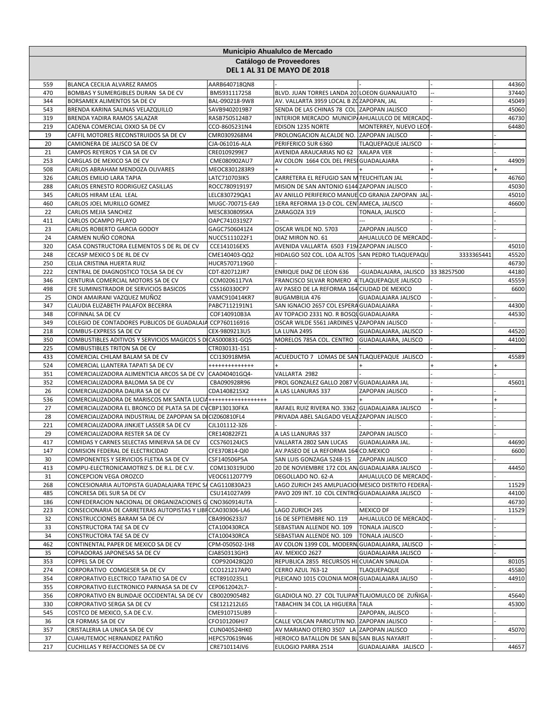|            | <b>Municipio Ahualulco de Mercado</b><br>Catálogo de Proveedores                                                            |                                |                                                                                              |                            |             |                |  |  |
|------------|-----------------------------------------------------------------------------------------------------------------------------|--------------------------------|----------------------------------------------------------------------------------------------|----------------------------|-------------|----------------|--|--|
|            |                                                                                                                             |                                | <b>DEL 1 AL 31 DE MAYO DE 2018</b>                                                           |                            |             |                |  |  |
| 559        | BLANCA CECILIA ALVAREZ RAMOS                                                                                                | AARB640718QN8                  |                                                                                              |                            |             | 44360          |  |  |
| 470        | BOMBAS Y SUMERGIBLES DURAN SA DE CV                                                                                         | BMS931117258                   | BLVD. JUAN TORRES LANDA 201 LOEON GUANAJUATO                                                 |                            |             | 37440          |  |  |
| 344        | BORSAMEX ALIMENTOS SA DE CV                                                                                                 | BAL-090218-9W8                 | AV. VALLARTA 3959 LOCAL B ZOZAPOPAN, JAL<br>SENDA DE LAS CHINAS 78 COL ZAPOPAN JALISCO       |                            |             | 45049<br>45060 |  |  |
| 543<br>319 | BRENDA KARINA SALINAS VELAZQUILLO<br>BRENDA YADIRA RAMOS SALAZAR                                                            | SAVB9402019B7<br>RASB7505124B7 | INTERIOR MERCADO MUNICIP/AHUALULCO DE MERCADO                                                |                            |             | 46730          |  |  |
| 219        | CADENA COMERCIAL OXXO SA DE CV                                                                                              | CCO-8605231N4                  | EDISON 1235 NORTE                                                                            | MONTERREY, NUEVO LEOI      |             | 64480          |  |  |
| 19         | CAFFIL MOTORES RECONSTRUIDOS SA DE CV                                                                                       | CMR0309268M4                   | PROLONGACION ALCALDE NO. ZAPOPAN JALISCO                                                     |                            |             |                |  |  |
| 20         | CAMIONERA DE JALISCO SA DE CV                                                                                               | CJA-061016-ALA                 | PERIFERICO SUR 6360                                                                          | <b>TLAQUEPAQUE JALISCO</b> |             |                |  |  |
| 21         | CAMPOS REYEROS Y CIA SA DE CV                                                                                               | CRE0109299E7                   | AVENIDA ARAUCARIAS NO 62 XALAPA VER                                                          |                            |             |                |  |  |
| 253        | CARGLAS DE MEXICO SA DE CV                                                                                                  | CME080902AU7                   | AV COLON 1664 COL DEL FRESI GUADALAJARA                                                      |                            |             | 44909          |  |  |
| 508<br>326 | CARLOS ABRAHAM MENDOZA OLIVARES<br>CARLOS EMILIO LARA TAPIA                                                                 | MEOC8301283R9<br>LATC710703IK5 | CARRETERA EL REFUGIO SAN M TEUCHITLAN JAL                                                    |                            |             | 46760          |  |  |
| 288        | CARLOS ERNESTO RODRIGUEZ CASILLAS                                                                                           | ROCC780919197                  | MISION DE SAN ANTONIO 6144 ZAPOPAN JALISCO                                                   |                            |             | 45030          |  |  |
| 345        | CARLOS HIRAM LEAL LEAL                                                                                                      | LELC830729QA1                  | AV ANILLO PERIFERICO MANUE CD GRANJA ZAPOPAN JAL                                             |                            |             | 45010          |  |  |
| 460        | CARLOS JOEL MURILLO GOMEZ                                                                                                   | MUGC-700715-EA9                | 1ERA REFORMA 13-D COL. CEN AMECA, JALISCO                                                    |                            |             | 46600          |  |  |
| 22         | CARLOS MEJIA SANCHEZ                                                                                                        | MESC830809SKA                  | ZARAGOZA 319                                                                                 | TONALA, JALISCO            |             |                |  |  |
| 411        | CARLOS OCAMPO PELAYO                                                                                                        | OAPC7410319Z7                  |                                                                                              |                            |             |                |  |  |
| 23         | CARLOS ROBERTO GARCIA GODOY                                                                                                 | GAGC7506041Z4                  | OSCAR WILDE NO. 5703                                                                         | ZAPOPAN JALISCO            |             |                |  |  |
| 24         | CARMEN NUÑO CORONA                                                                                                          | NUCC5111022F1                  | DIAZ MIRON NO. 61                                                                            | AHUALULCO DE MERCADO       |             |                |  |  |
| 320<br>248 | CASA CONSTRUCTORA ELEMENTOS S DE RL DE CV<br>CECASP MEXICO S DE RL DE CV                                                    | CCE141016EX5<br>CME140403-QQ2  | AVENIDA VALLARTA 6503 F19/ZAPOPAN JALISCO<br>HIDALGO 502 COL. LOA ALTOS SAN PEDRO TLAQUEPAQU |                            | 3333365441  | 45010<br>45520 |  |  |
| 250        | CELIA CRISTINA HUERTA RUIZ                                                                                                  | HUCR5707119G0                  |                                                                                              |                            |             | 46730          |  |  |
| 222        | CENTRAL DE DIAGNOSTICO TOLSA SA DE CV                                                                                       | CDT-820712JR7                  | ENRIQUE DIAZ DE LEON 636                                                                     | -GUADALAJARA, JALISCO      | 33 38257500 | 44180          |  |  |
| 346        | CENTURIA COMERCIAL MOTORS SA DE CV                                                                                          | CCM0206117VA                   | FRANCISCO SILVAR ROMERO 4 TLAQUEPAQUE JALISCO                                                |                            |             | 45559          |  |  |
| 498        | CFE SUMINISTRADOR DE SERVICIOS BASICOS                                                                                      | CSS160330CP7                   | AV PASEO DE LA REFORMA 164 CIUDAD DE MEXICO                                                  |                            |             | 6600           |  |  |
| 25         | CINDI AMAIRANI VAZQUEZ MUÑOZ                                                                                                | VAMC910414KR7                  | <b>BUGAMBILIA 476</b>                                                                        | <b>GUADALAJARA JALISCO</b> |             |                |  |  |
| 347        | CLAUDIA ELIZABETH PALAFOX BECERRA                                                                                           | PABC7112191N1                  | SAN IGNACIO 2657 COL ESPERA GUADALAJARA                                                      |                            |             | 44300          |  |  |
| 348        | COFINNAL SA DE CV                                                                                                           | COF140910B3A                   | AV TOPACIO 2331 NO. R BOSQU GUADALAJARA                                                      |                            |             | 44530          |  |  |
| 349<br>218 | COLEGIO DE CONTADORES PUBLICOS DE GUADALAJA CCP760116916<br>COMBUS-EXPRESS SA DE CV                                         | CEX-9809213U5                  | OSCAR WILDE 5561 JARDINES V ZAPOPAN JALISCO<br>LA LUNA 2495                                  | GUADALAJARA, JALISCO       |             | 44520          |  |  |
| 350        | COMBUSTIBLES ADITIVOS Y SERVICIOS MAGICOS S DI CAS000831-GQ5                                                                |                                | MORELOS 785A COL. CENTRO                                                                     | GUADALAJARA, JALISCO       |             | 44100          |  |  |
| 225        | COMBUSTIBLES TRITON SA DE CV                                                                                                | CTR030131-151                  |                                                                                              |                            |             |                |  |  |
| 433        | COMERCIAL CHILAM BALAM SA DE CV                                                                                             | CCI130918M9A                   | ACUEDUCTO 7 LOMAS DE SANTLAQUEPAQUE JALISCO                                                  |                            |             | 45589          |  |  |
| 524        | COMERCIAL LLANTERA TAPATI SA DE CV                                                                                          | +++++++++++++                  |                                                                                              |                            |             |                |  |  |
| 351        | COMERCIALIZADORA ALIMENTICIA ARCOS SA DE CV                                                                                 | CAA040401GQ4-                  | VALLARTA 2982                                                                                |                            |             |                |  |  |
| 352        | COMERCIALIZADORA BALOMA SA DE CV                                                                                            | CBA090928R96                   | PROL GONZALEZ GALLO 2087 V GUADALAJARA JAL                                                   |                            |             | 45601          |  |  |
| 26         | COMERCIALIZADORA DALIRA SA DE CV                                                                                            | CDA1408215X2                   | A LAS LLANURAS 337                                                                           | ZAPOPAN JALISCO            |             |                |  |  |
| 536<br>27  | COMERCIALIZADORA DE MARISCOS MK SANTA LUCIA+++++++++++++++++++<br>COMERCIALIZADORA EL BRONCO DE PLATA SA DE CV CBP130130FKA |                                | RAFAEL RUIZ RIVERA NO. 3362 GUADALAJARA JALISCO                                              |                            |             |                |  |  |
| 28         | COMERCIALIZADORA INDUSTRIAL DE ZAPOPAN SA DI CIZ060810FL4                                                                   |                                | PRIVADA ABEL SALGADO VELAZ ZAPOPAN JALISCO                                                   |                            |             |                |  |  |
| 221        | COMERCIALIZADORA JINKJET LASSER SA DE CV                                                                                    | CJL101112-3Z6                  |                                                                                              |                            |             |                |  |  |
| 29         | COMERCIALIZADORA RESTER SA DE CV                                                                                            | CRE140822FZ1                   | A LAS LLANURAS 337                                                                           | ZAPOPAN JALISCO            |             |                |  |  |
| 417        | COMIDAS Y CARNES SELECTAS MINERVA SA DE CV                                                                                  | CCS760124JC5                   | VALLARTA 2802 SAN LUCAS                                                                      | GUADALAJARA JAL.           |             | 44690          |  |  |
| 147        | COMISION FEDERAL DE ELECTRICIDAD                                                                                            | CFE370814-QI0                  | AV.PASEO DE LA REFORMA 164 CD.MEXICO                                                         |                            |             | 6600           |  |  |
| 30         | COMPONENTES Y SERVICIOS FLETXA SA DE CV                                                                                     | CSF140506P5A                   | SAN LUIS GONZAGA 5248-15                                                                     | <b>ZAPOPAN JALISCO</b>     |             |                |  |  |
| 413        | COMPU-ELECTRONICAMOTRIZ S. DE R.L. DE C.V.                                                                                  | COM130319UD0                   | 20 DE NOVIEMBRE 172 COL AN GUADALAJARA JALISCO                                               |                            |             | 44450          |  |  |
| 31<br>268  | CONCEPCION VEGA OROZCO<br>CONCESIONARIA AUTOPISTA GUADALAJARA TEPIC SA CAG110830A23                                         | VEOC6112077Y9                  | DEGOLLADO NO. 62-A<br>LAGO ZURICH 245 AMLPLIACIOI MESICO DISTRITO FEDERA                     | AHUALULCO DE MERCADO       |             | 11529          |  |  |
| 485        | CONCRESA DEL SUR SA DE CV                                                                                                   | CSU141027A99                   | PAVO 209 INT. 10 COL CENTRO GUADALAJARA JALISCO                                              |                            |             | 44100          |  |  |
| 186        | CONFEDERACION NACIONAL DE ORGANIZACIONES G CNO360914UTA                                                                     |                                |                                                                                              |                            |             | 46730          |  |  |
| 223        | CONSECIONARIA DE CARRETERAS AUTOPISTAS Y LIBI CCA030306-LA6                                                                 |                                | LAGO ZURICH 245                                                                              | <b>MEXICO DF</b>           |             | 11529          |  |  |
| 32         | CONSTRUCCIONES BARAM SA DE CV                                                                                               | CBA9906233J7                   | 16 DE SEPTIEMBRE NO. 119                                                                     | AHUALULCO DE MERCADO-      |             |                |  |  |
| 33         | CONSTRUCTORA TAE SA DE CV                                                                                                   | CTA100430RCA                   | SEBASTIAN ALLENDE NO. 109                                                                    | <b>TONALA JALISCO</b>      |             |                |  |  |
| 34         | CONSTRUCTORA TAE SA DE CV                                                                                                   | CTA100430RCA                   | SEBASTIAN ALLENDE NO. 109                                                                    | <b>TONALA JALISCO</b>      |             |                |  |  |
| 462        | CONTINENTAL PAPER DE MEXICO SA DE CV                                                                                        | CPM-050502-1H8                 | AV COLON 1399 COL. MODERNI GUADALAJARA, JALISCO                                              | GUADALAJARA JALISCO        |             |                |  |  |
| 35<br>353  | COPIADORAS JAPONESAS SA DE CV<br>COPPEL SA DE CV                                                                            | CJA850313GH3<br>COP920428Q20   | AV. MEXICO 2627<br>REPUBLICA 2855 RECURSOS HI CUIACAN SINALOA                                |                            |             | 80105          |  |  |
| 274        | CORPORATIVO COMGESER SA DE CV                                                                                               | CCO121217AP0                   | CERRO AZUL 763-12                                                                            | TLAQUEPAQUE                |             | 45580          |  |  |
| 354        | CORPORATIVO ELECTRICO TAPATIO SA DE CV                                                                                      | ECT8910235L1                   | PLEICANO 1015 COLONIA MORI GUADALAJARA JALISO                                                |                            |             | 44910          |  |  |
| 355        | CORPORATIVO ELECTRONICO PARNASA SA DE CV                                                                                    | CEP0612042L7-                  |                                                                                              |                            |             |                |  |  |
| 356        | CORPORATIVO EN BLINDAJE OCCIDENTAL SA DE CV                                                                                 | CB00209054B2                   | GLADIOLA NO. 27 COL TULIPAN TLAJOMULCO DE ZUÑIGA                                             |                            |             | 45640          |  |  |
| 330        | CORPORATIVO SERGA SA DE CV                                                                                                  | CSE121212L65                   | TABACHIN 34 COL LA HIGUERA TALA                                                              |                            |             | 45300          |  |  |
| 545        | COSTCO DE MEXICO, S.A DE C.V.                                                                                               | CME910715UB9                   |                                                                                              | ZAPOPAN, JALISCO           |             |                |  |  |
| 36<br>357  | CR FORMAS SA DE CV<br>CRISTALERIA LA UNICA SA DE CV                                                                         | CFO101206HJ7<br>CUN040524HK0   | CALLE VOLCAN PARICUTIN NO. ZAPOPAN JALISCO<br>AV MARIANO OTERO 3507 LA ZAPOPAN JALISCO       |                            |             | 45070          |  |  |
| 37         | CUAHUTEMOC HERNANDEZ PATIÑO                                                                                                 | HEPC570619N46                  | HEROICO BATALLON DE SAN BL SAN BLAS NAYARIT                                                  |                            |             |                |  |  |
| 217        | CUCHILLAS Y REFACCIONES SA DE CV                                                                                            | CRE710114JV6                   | EULOGIO PARRA 2514                                                                           | GUADALAJARA JALISCO        |             | 44657          |  |  |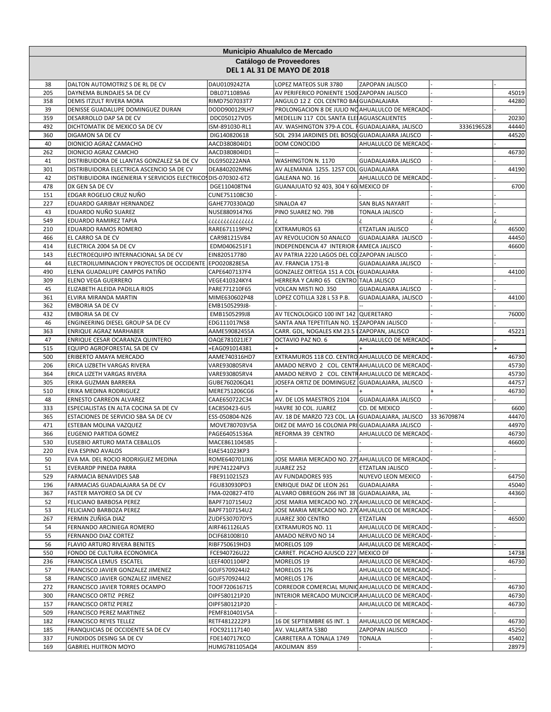|            | Municipio Ahualulco de Mercado<br>Catálogo de Proveedores<br><b>DEL 1 AL 31 DE MAYO DE 2018</b> |                                 |                                                                                               |                         |             |                |  |
|------------|-------------------------------------------------------------------------------------------------|---------------------------------|-----------------------------------------------------------------------------------------------|-------------------------|-------------|----------------|--|
|            |                                                                                                 |                                 |                                                                                               |                         |             |                |  |
| 38         | DALTON AUTOMOTRIZ S DE RL DE CV                                                                 | DAU0109242TA                    | LOPEZ MATEOS SUR 3780                                                                         | ZAPOPAN JALISCO         |             |                |  |
| 205        | DAYNEMA BLINDAJES SA DE CV                                                                      | DBL0711089A6                    | AV PERIFERICO PONIENTE 1500 ZAPOPAN JALISCO                                                   |                         |             | 45019          |  |
| 358        | DEMIS ITZULT RIVERA MORA                                                                        | RIMD7507033T7                   | ANGULO 12 Z COL CENTRO BAI GUADALAJARA                                                        |                         |             | 44280          |  |
| 39<br>359  | DENISSE GUADALUPE DOMINGUEZ DURAN<br>DESARROLLO DAP SA DE CV                                    | DODD900129LH7<br>DDC050127VD5   | PROLONGACION 8 DE JULIO NO AHUALULCO DE MERCADO<br>MEDELLIN 117 COL SANTA ELEI AGUASCALIENTES |                         |             | 20230          |  |
| 492        | DICHTOMATIK DE MEXICO SA DE CV                                                                  | ISM-891030-RL1                  | AV. WASHINGTON 379-A COL. FGUADALAJARA, JALISCO                                               |                         | 3336196528  | 44440          |  |
| 360        | <b>DIGAMON SA DE CV</b>                                                                         | DIG140820618                    | SOL 2934 JARDINES DEL BOSQU GUADALAJARA JALISCO                                               |                         |             | 44520          |  |
| 40         | DIONICIO AGRAZ CAMACHO                                                                          | AACD380804ID1                   | DOM CONOCIDO                                                                                  | AHUALULCO DE MERCADO    |             |                |  |
| 262        | DIONICIO AGRAZ CAMCHO                                                                           | AACD380804ID1                   |                                                                                               |                         |             | 46730          |  |
| 41         | DISTRIBUIDORA DE LLANTAS GONZALEZ SA DE CV                                                      | DLG950222ANA                    | WASHINGTON N. 1170                                                                            | GUADALAJARA JALISCO     |             |                |  |
| 301        | DISTRIBUIDORA ELECTRICA ASCENCIO SA DE CV                                                       | DEA840202MN6                    | AV ALEMANIA 1255. 1257 COL GUADALAJARA                                                        |                         |             | 44190          |  |
| 42         | DISTRIBUIDORA INGENIERIA Y SERVICIOS ELECTRICOS DIS-070302-6T2                                  |                                 | GALEANA NO. 16                                                                                | AHUALULCO DE MERCADO    |             |                |  |
| 478        | DX GEN SA DE CV                                                                                 | DGE110408TN4                    | GUANAJUATO 92 403, 304 Y 60 MEXICO DF                                                         |                         |             | 6700           |  |
| 151        | EDGAR ROGELIO CRUZ NUÑO                                                                         | CUNE751108C30                   |                                                                                               |                         |             |                |  |
| 227        | EDUARDO GARIBAY HERNANDEZ                                                                       | GAHE770330AQ0                   | SINALOA 47                                                                                    | SAN BLAS NAYARIT        |             |                |  |
| 43<br>549  | EDUARDO NUÑO SUAREZ<br>EDUARDO RAMIREZ TAPIA                                                    | NUSE8809147K6                   | PINO SUAREZ NO. 79B                                                                           | TONALA JALISCO          |             |                |  |
| 210        | EDUARDO RAMOS ROMERO                                                                            | ذذذذذذذذذذذذذذ<br>RARE671119PH2 | EXTRAMUROS 63                                                                                 | ETZATLAN JALISCO        |             | 46500          |  |
| 466        | EL CARRO SA DE CV                                                                               | CAR981215V84                    | AV REVOLUCION 50 ANALCO                                                                       | GUADALAJARA JALISCO     |             | 44450          |  |
| 414        | ELECTRICA 2004 SA DE CV                                                                         | EDM0406251F1                    | INDEPENDENCIA 47 INTERIOR (AMECA JALISCO                                                      |                         |             | 46600          |  |
| 143        | ELECTROEQUIPO INTERNACIONAL SA DE CV                                                            | EIN820517780                    | AV PATRIA 2220 LAGOS DEL CO ZAPOPAN JALISCO                                                   |                         |             |                |  |
| 44         | ELECTROILUMINACION Y PROYECTOS DE OCCIDENTE                                                     | EPO020828E5A                    | AV. FRANCIA 1751-B                                                                            | GUADALAJARA JALISCO     |             |                |  |
| 490        | ELENA GUADALUPE CAMPOS PATIÑO                                                                   | CAPE6407137F4                   | GONZALEZ ORTEGA 151 A COL GUADALAJARA                                                         |                         |             | 44100          |  |
| 309        | ELENO VEGA GUERRERO                                                                             | VEGE410324KY4                   | HERRERA Y CAIRO 65 CENTRO TALA JALISCO                                                        |                         |             |                |  |
| 45         | ELIZABETH ALEIDA PADILLA RIOS                                                                   | PARE771210F65                   | VOLCAN MISTI NO. 350                                                                          | GUADALAJARA JALISCO     |             |                |  |
| 361        | ELVIRA MIRANDA MARTIN                                                                           | MIME630602P48                   | LOPEZ COTILLA 328 L 53 P.B.                                                                   | GUADALAJARA, JALISCO    |             | 44100          |  |
| 362        | EMBORIA SA DE CV                                                                                | EMB1505299J8-                   |                                                                                               |                         |             |                |  |
| 432        | EMBORIA SA DE CV                                                                                | EMB1505299J8                    | AV TECNOLOGICO 100 INT 142 QUERETARO                                                          |                         |             | 76000          |  |
| 46         | ENGINEERING DIESEL GROUP SA DE CV                                                               | EDG111017NS8                    | SANTA ANA TEPETITLAN NO. 15 ZAPOPAN JALISCO                                                   |                         |             |                |  |
| 363<br>47  | ENRIQUE AGRAZ MARHABER                                                                          | AAME59082455A                   | CARR. GDL, NOGALES KM 23.5 IZAPOPAN, JALISCO                                                  |                         |             | 45221          |  |
| 515        | ENRIQUE CESAR OCARANZA QUINTERO<br>EQUIPO AGROFORESTAL SA DE CV                                 | OAQE781021JE7<br>+EAG091014381  | OCTAVIO PAZ NO. 6                                                                             | AHUALULCO DE MERCADO    |             |                |  |
| 500        | ERIBERTO AMAYA MERCADO                                                                          | AAME740316HD7                   | EXTRAMUROS 118 CO. CENTRO AHUALULCO DE MERCADO                                                |                         |             | 46730          |  |
| 206        | ERICA LIZBETH VARGAS RIVERA                                                                     | VARE930805RV4                   | AMADO NERVO 2 COL. CENTRAHUALULCO DE MERCADO                                                  |                         |             | 45730          |  |
| 364        | ERICA LIZETH VARGAS RIVERA                                                                      | VARE930805RV4                   | AMADO NERVO 2 COL. CENTRAHUALULCO DE MERCADO                                                  |                         |             | 45730          |  |
| 305        | ERIKA GUZMAN BARRERA                                                                            | GUBE760206Q41                   | JOSEFA ORTIZ DE DOMINGUEZ GUADALAJARA, JALISCO                                                |                         |             | 44757          |  |
| 510        | ERIKA MEDINA RODRIGUEZ                                                                          | MERE751206CG6                   |                                                                                               |                         |             | 46730          |  |
| 48         | ERNESTO CARREON ALVAREZ                                                                         | CAAE650722C34                   | AV. DE LOS MAESTROS 2104                                                                      | GUADALAJARA JALISCO     |             |                |  |
| 333        | ESPECIALISTAS EN ALTA COCINA SA DE CV                                                           | EAC850423-6U5                   | HAVRE 30 COL. JUAREZ                                                                          | CD. DE MEXICO           |             | 6600           |  |
| 365        | ESTACIONES DE SERVICIO SBA SA DE CV                                                             | ESS-050804-N26                  | AV. 18 DE MARZO 723 COL. LA IGUADALAJARA, JALISCO                                             |                         | 33 36709874 | 44470          |  |
| 471        | ESTEBAN MOLINA VAZQUEZ                                                                          | MOVE780703V5A                   | DIEZ DE MAYO 16 COLONIA PRI GUADALAJARA JALISCO                                               |                         |             | 44970          |  |
| 366<br>530 | EUGENIO PARTIDA GOMEZ<br>EUSEBIO ARTURO MATA CEBALLOS                                           | PAGE64051536A<br>MACE8611045B5  | REFORMA 39 CENTRO                                                                             | AHUALULCO DE MERCADO    |             | 46730<br>46600 |  |
| 220        | <b>EVA ESPINO AVALOS</b>                                                                        | EIAE541023KP3                   |                                                                                               |                         |             |                |  |
| 50         | EVA MA. DEL ROCIO RODRIGUEZ MEDINA                                                              | ROME640701JX6                   | JOSE MARIA MERCADO NO. 275 AHUALULCO DE MERCADO                                               |                         |             |                |  |
| 51         | EVERARDP PINEDA PARRA                                                                           | PIPE741224PV3                   | JUAREZ 252                                                                                    | <b>ETZATLAN JALISCO</b> |             |                |  |
| 529        | <b>FARMACIA BENAVIDES SAB</b>                                                                   | FBE9110215Z3                    | AV FUNDADORES 935                                                                             | NUYEVO LEON MEXICO      |             | 64750          |  |
| 196        | FARMACIAS GUADALAJARA SA DE CV                                                                  | FGU830930PD3                    | ENRIQUE DIAZ DE LEON 261                                                                      | <b>GUADALAJARA</b>      |             | 45040          |  |
| 367        | FASTER MAYOREO SA DE CV                                                                         | FMA-020827-4T0                  | ALVARO OBREGON 266 INT 38 GUADALAJARA, JAL                                                    |                         |             | 44360          |  |
| 52         | FELICIANO BARBOSA PEREZ                                                                         | BAPF7107154U2                   | JOSE MARIA MERCADO NO. 270 AHUALULCO DE MERCADO                                               |                         |             |                |  |
| 53         | FELICIANO BARBOZA PEREZ                                                                         | BAPF7107154U2                   | JOSE MARIA MERCADO NO. 270 AHUALULCO DE MERCADO                                               |                         |             |                |  |
| 267        | FERMIN ZUÑIGA DIAZ                                                                              | ZUDF530707DY5                   | JUAREZ 300 CENTRO                                                                             | ETZATLAN                |             | 46500          |  |
| 54         | FERNANDO ARCINIEGA ROMERO                                                                       | AIRF461126LA5                   | EXTRAMUROS NO. 11                                                                             | AHUALULCO DE MERCADO    |             |                |  |
| 55         | FERNANDO DIAZ CORTEZ                                                                            | DCIF681008I10                   | AMADO NERVO NO 14                                                                             | AHUALULCO DE MERCADO    |             |                |  |
| 56<br>550  | FLAVIO ARTURO RIVERA BENITES<br>FONDO DE CULTURA ECONOMICA                                      | RIBF750619HD3<br>FCE940726U22   | MORELOS 109<br>CARRET. PICACHO AJUSCO 227 MEXICO DF                                           | AHUALULCO DE MERCADO    |             | 14738          |  |
| 236        | FRANCISCA LEMUS ESCATEL                                                                         | LEEF4001104P2                   | MORELOS 19                                                                                    | AHUALULCO DE MERCADO-   |             | 46730          |  |
| 57         | FRANCISCO JAVIER GONZALEZ JIMENEZ                                                               | GOJF5709244J2                   | MORELOS 176                                                                                   | AHUALULCO DE MERCADO    |             |                |  |
| 58         | FRANCISCO JAVIER GONZALEZ JIMENEZ                                                               | GOJF5709244J2                   | MORELOS 176                                                                                   | AHUALULCO DE MERCADO    |             |                |  |
| 272        | FRANCISCO JAVIER TORRES OCAMPO                                                                  | TOOF720616715                   | CORREDOR COMERCIAL MUNIC AHUALULCO DE MERCADO                                                 |                         |             | 46730          |  |
| 300        | FRANCISCO ORTIZ PEREZ                                                                           | OIPF580121P20                   | INTERIOR MERCADO MUNCICIPAHUALULCO DE MERCADO                                                 |                         |             | 46730          |  |
| 157        | FRANCISCO ORTIZ PEREZ                                                                           | OIPF580121P20                   |                                                                                               | AHUALULCO DE MERCADO    |             | 46730          |  |
| 509        | FRANCISCO PEREZ MARTINEZ                                                                        | PEMF810401V5A                   |                                                                                               |                         |             |                |  |
| 182        | FRANCISCO REYES TELLEZ                                                                          | RETF4812222P3                   | 16 DE SEPTIEMBRE 65 INT. 1                                                                    | AHUALULCO DE MERCADO-   |             | 46730          |  |
| 185        | FRANQUICIAS DE OCCIDENTE SA DE CV                                                               | FOC921117140                    | AV. VALLARTA 5380                                                                             | ZAPOPAN JALISCO         |             | 45250          |  |
| 337        | FUNDIDOS DESING SA DE CV                                                                        | FDE140717KCO                    | CARRETERA A TONALA 1749                                                                       | <b>TONALA</b>           |             | 45402          |  |
| 169        | <b>GABRIEL HUITRON MOYO</b>                                                                     | HUMG781105AQ4                   | AKOLIMAN 859                                                                                  |                         |             | 28979          |  |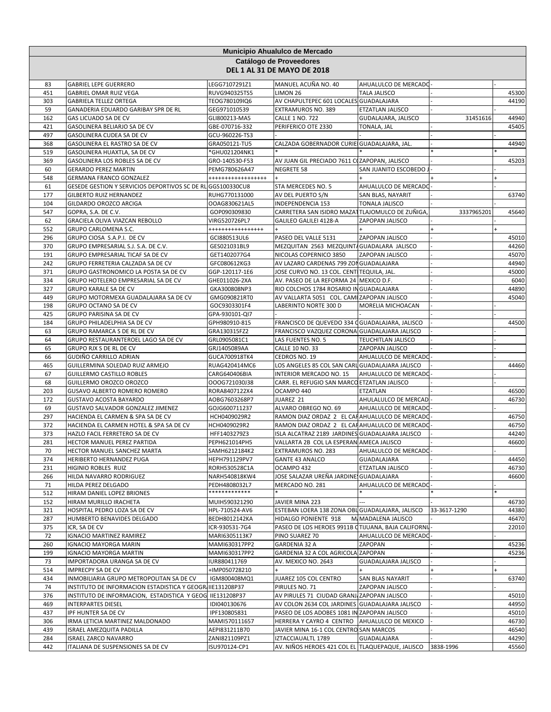|            | Municipio Ahualulco de Mercado                                            |                                 |                                                                                             |                            |              |                |  |
|------------|---------------------------------------------------------------------------|---------------------------------|---------------------------------------------------------------------------------------------|----------------------------|--------------|----------------|--|
|            |                                                                           |                                 | Catálogo de Proveedores                                                                     |                            |              |                |  |
|            |                                                                           |                                 | <b>DEL 1 AL 31 DE MAYO DE 2018</b>                                                          |                            |              |                |  |
| 83         | <b>GABRIEL LEPE GUERRERO</b>                                              | LEGG7107291Z1                   | MANUEL ACUÑA NO. 40                                                                         | AHUALULCO DE MERCADO       |              |                |  |
| 451        | <b>GABRIEL OMAR RUIZ VEGA</b>                                             | RUVG940325TS5                   | LIMON 26                                                                                    | <b>TALA JALISCO</b>        |              | 45300          |  |
| 303        | <b>GABRIELA TELLEZ ORTEGA</b>                                             | TEOG780109IQ6                   | AV CHAPULTEPEC 601 LOCALES GUADALAJARA                                                      |                            |              | 44190          |  |
| 59         | GANADERIA EDUARDO GARIBAY SPR DE RL                                       | GEG971010539                    | EXTRAMUROS NO. 389                                                                          | ETZATLAN JALISCO           |              |                |  |
| 162        | GAS LICUADO SA DE CV                                                      | GLI800213-MA5                   | <b>CALLE 1 NO. 722</b>                                                                      | GUDALAJARA, JALISCO        | 31451616     | 44940          |  |
| 421        | GASOLINERA BELIARJO SA DE CV                                              | GBE-070716-332                  | PERIFERICO OTE 2330                                                                         | TONALA, JAL                |              | 45405          |  |
| 497        | GASOLINERA CUDEA SA DE CV                                                 | GCU-960226-TS3                  |                                                                                             |                            |              | 44940          |  |
| 368<br>519 | GASOLINERA EL RASTRO SA DE CV<br>GASOLINERA HUAXTLA, SA DE CV             | GRA050121-TU5<br>*GHU021204NK1  | CALZADA GOBERNADOR CURIE GUADALAJARA, JAL.                                                  |                            |              |                |  |
| 369        | GASOLINERA LOS ROBLES SA DE CV                                            | GRO-140530-F53                  | AV JUAN GIL PRECIADO 7611 COZAPOPAN, JALISCO                                                |                            |              | 45203          |  |
| 60         | <b>GERARDO PEREZ MARTIN</b>                                               | PEMG780626A47                   | <b>NEGRETE 58</b>                                                                           | SAN JUANITO ESCOBEDO       |              |                |  |
| 548        | GERMANA FRANCO GONZALEZ                                                   | ******************              |                                                                                             |                            |              |                |  |
| 61         | GESEDE GESTION Y SERVICIOS DEPORTIVOS SC DE RL                            | GGS100330CU8                    | STA MERCEDES NO. 5                                                                          | AHUALULCO DE MERCADO       |              |                |  |
| 177        | GILBERTO RUIZ HERNANDEZ                                                   | RUHG770131000                   | AV DEL PUERTO S/N                                                                           | SAN BLAS, NAYARIT          |              | 63740          |  |
| 104        | GILDARDO OROZCO ARCIGA                                                    | OOAG830621AL5                   | INDEPENDENCIA 153                                                                           | TONALA JALISCO             |              |                |  |
| 547        | GOPRA, S.A. DE C.V.                                                       | GOP090309830                    | CARRETERA SAN ISIDRO MAZATTLAJOMULCO DE ZUÑIGA                                              |                            | 3337965201   | 45640          |  |
| 62         | GRACIELA OLIVA VIAZCAN REBOLLO                                            | VIRG520726PL7                   | GALILEO GALILEI 4128-A                                                                      | ZAPOPAN JALISCO            |              |                |  |
| 552        | GRUPO CARLOMENA S.C.                                                      | *****************               |                                                                                             |                            |              |                |  |
| 296        | GRUPO CIOSA S.A.P.I. DE CV                                                | GCI880513UL6                    | PASEO DEL VALLE 5131                                                                        | ZAPOPAN JALISCO            |              | 45010          |  |
| 370        | GRUPO EMPRESARIAL S.J. S.A. DE C.V.                                       | GES021031BL9                    | MEZQUITAN 2563 MEZQUINTA GUADALARA JALISCO                                                  |                            |              | 44260          |  |
| 191<br>242 | GRUPO EMPRESARIAL TICAF SA DE CV                                          | GET1402077G4                    | NICOLAS COPERNICO 3850                                                                      | ZAPOPAN JALISCO            |              | 45070<br>44940 |  |
| 371        | GRUPO FERRETERIA CALZADA SA DE CV<br>GRUPO GASTRONOMICO LA POSTA SA DE CV | GFC080612KG3<br>GGP-120117-1E6  | AV LAZARO CARDENAS 799 ZON GUADALAJARA<br>JOSE CURVO NO. 13 COL. CENTITEQUILA, JAL.         |                            |              | 45000          |  |
| 334        | GRUPO HOTELERO EMPRESARIAL SA DE CV                                       | GHE011026-2XA                   | AV. PASEO DE LA REFORMA 24 MEXICO D.F.                                                      |                            |              | 6040           |  |
| 327        | <b>GRUPO KARALE SA DE CV</b>                                              | GKA300808NP3                    | RIO COLCHOS 1784 ROSARIO IN GUADALAJARA                                                     |                            |              | 44890          |  |
| 449        | GRUPO MOTORMEXA GUADALAJARA SA DE CV                                      | GMG090821RT0                    | AV VALLARTA 5051 COL. CAMI ZAPOPAN JALISCO                                                  |                            |              | 45040          |  |
| 198        | GRUPO OCTANO SA DE CV                                                     | GOC9303301F4                    | LABERINTO NORTE 300 D                                                                       | MORELIA MICHOACAN          |              |                |  |
| 425        | GRUPO PARISINA SA DE CV                                                   | GPA-930101-QI7                  |                                                                                             |                            |              |                |  |
| 184        | GRUPO PHILADELPHIA SA DE CV                                               | GPH980910-815                   | FRANCISCO DE QUEVEDO 334 OGUADALAJARA, JALISCO                                              |                            |              | 44500          |  |
| 63         | GRUPO RAMARCA S DE RL DE CV                                               | GRA130315FZ2                    | FRANCISCO VAZQUEZ CORONA GUADALAJARA JALISCO                                                |                            |              |                |  |
| 64         | GRUPO RESTAURANTEROEL LAGO SA DE CV                                       | GRL0905081C1                    | LAS FUENTES NO. 5                                                                           | <b>TEUCHITLAN JALISCO</b>  |              |                |  |
| 65         | GRUPO RJX S DE RL DE CV                                                   | GRJ1405089AA                    | CALLE 10 NO. 33                                                                             | ZAPOPAN JALISCO            |              |                |  |
| 66         | GUDIÑO CARRILLO ADRIAN                                                    | GUCA700918TK4                   | CEDROS NO. 19                                                                               | AHUALULCO DE MERCADO       |              |                |  |
| 465        | GUILLERMINA SOLEDAD RUIZ ARMEJO                                           | RUAG420414MC6                   | LOS ANGELES 85 COL SAN CARL GUADALAJARA JALISCO                                             |                            |              | 44460          |  |
| 67         | <b>GUILLERMO CASTILLO ROBLES</b>                                          | CARG640406BIA                   | <b>INTERIOR MERCADO NO. 15</b>                                                              | AHUALULCO DE MERCADO       |              |                |  |
| 68<br>203  | GUILLERMO OROZCO OROZCO<br><b>GUSAVO ALBERTO ROMERO ROMERO</b>            | OOOG721030J38<br>RORA8407122X4  | CARR. EL REFUGIO SAN MARCO ETZATLAN JALISCO<br>OCAMPO 440                                   | ETZATLAN                   |              | 46500          |  |
| 172        | <b>GUSTAVO ACOSTA BAYARDO</b>                                             | AOBG7603268P7                   | JUAREZ 21                                                                                   | AHULALULCO DE MERCAD       |              | 46730          |  |
| 69         | GUSTAVO SALVADOR GONZALEZ JIMENEZ                                         | GOJG600711237                   | ALVARO OBREGO NO. 69                                                                        | AHUALULCO DE MERCADO       |              |                |  |
| 297        | HACIENDA EL CARMEN & SPA SA DE CV                                         | HCH0409029R2                    | RAMON DIAZ ORDAZ 2 EL CAHAHUALULCO DE MERCADO                                               |                            |              | 46750          |  |
| 372        | HACIENDA EL CARMEN HOTEL & SPA SA DE CV                                   | HCH0409029R2                    | RAMON DIAZ ORDAZ 2 EL CAHAHUALULCO DE MERCADO                                               |                            |              | 46750          |  |
| 373        | HAZLO FACIL FERRETERO SA DE CV                                            | HFF1403279Z3                    | ISLA ALCATRAZ 2189 JARDINES GUADALAJARA JALISCO                                             |                            |              | 44240          |  |
| 281        | HECTOR MANUEL PEREZ PARTIDA                                               | PEPH621014PH5                   | VALLARTA 2B COL LA ESPERAN AMECA JALISCO                                                    |                            |              | 46600          |  |
| 70         | HECTOR MANUEL SANCHEZ MARTA                                               | SAMH6212184K2                   | <b>EXTRAMUROS NO. 283</b>                                                                   | AHUALULCO DE MERCADO       |              |                |  |
| 374        | HERIBERTO HERNANDEZ PUGA                                                  | HEPH791129PV7                   | <b>GANTE 43 ANALCO</b>                                                                      | GUADALAJARA                |              | 44450          |  |
| 231        | HIGINIO ROBLES RUIZ                                                       | RORH530528C1A                   | OCAMPO 432                                                                                  | ETZATLAN JALISCO           |              | 46730          |  |
| 266        | HILDA NAVARRO RODRIGUEZ                                                   | NARH540818KW4                   | JOSE SALAZAR UREÑA JARDINE, GUADALAJARA                                                     |                            |              | 46600          |  |
| 71         | HILDA PEREZ DELGADO                                                       | PEDH4808032L7<br>*************  | MERCADO NO. 281                                                                             | AHUALULCO DE MERCADO       |              |                |  |
| 512        | HIRAM DANIEL LOPEZ BRIONES                                                |                                 |                                                                                             |                            |              | 46730          |  |
| 152<br>321 | HIRAM MURILLO IRACHETA<br>HOSPITAL PEDRO LOZA SA DE CV                    | MUIH590321290<br>HPL-710524-AV6 | JAVIER MINA 223<br>ESTEBAN LOERA 138 ZONA OBL GUADALAJARA, JALISCO                          |                            | 33-3617-1290 | 44380          |  |
| 287        | HUMBERTO BENAVIDES DELGADO                                                | BEDH8012142KA                   | HIDALGO PONIENTE 918                                                                        | M. MADALENA JALISCO        |              | 46470          |  |
| 375        | ICR, SA DE CV                                                             | ICR-930531-7G4                  | PASEO DE LOS HEROES 9911B CTIJUANA, BAJA CALIFORNI.                                         |                            |              | 22010          |  |
| 72         | <b>IGNACIO MARTINEZ RAMIREZ</b>                                           | MARI6305113K7                   | PINO SUAREZ 70                                                                              | AHUALULCO DE MERCADO       |              |                |  |
| 260        | <b>IGNACIO MAYORGA MARIN</b>                                              | MAMI630317PP2                   | GARDENIA 32 A                                                                               | ZAPOPAN                    |              | 45236          |  |
| 199        | <b>IGNACIO MAYORGA MARTIN</b>                                             | MAMI630317PP2                   | GARDENIA 32 A COL AGRICOLA ZAPOPAN                                                          |                            |              | 45236          |  |
| 73         | IMPORTADORA URANGA SA DE CV                                               | IUR880411769                    | AV. MEXICO NO. 2643                                                                         | <b>GUADALAJARA JALISCO</b> |              |                |  |
| 514        | IMPRECPY SA DE CV                                                         | +IMP050728210                   | $+$                                                                                         |                            |              | $+$            |  |
| 434        | INMOBILIARIA GRUPO METROPOLITAN SA DE CV                                  | IGM800408MQ1                    | JUAREZ 105 COL CENTRO                                                                       | SAN BLAS NAYARIT           |              | 63740          |  |
| 74         | INSTITUTO DE INFORMACION ESTADISTICA Y GEOGRI IIE131208P37                |                                 | PIRULES NO. 71                                                                              | ZAPOPAN JALISCO            |              |                |  |
| 376        | INSTITUTO DE INFORMACION, ESTADISTICA Y GEOG                              | IIE131208P37                    | AV PIRULES 71 CIUDAD GRANJ ZAPOPAN JALISCO                                                  |                            |              | 45010          |  |
| 469        | <b>INTERPARTES DIESEL</b>                                                 | IDI040130676                    | AV COLON 2634 COL JARDINES GUADALAJARA JALISCO                                              |                            |              | 44950<br>45010 |  |
| 437<br>306 | IPF HUNTER SA DE CV<br>IRMA LETICIA MARTINEZ MALDONADO                    | IPF130805831<br>MAMI570111657   | PASEO DE LOS ADOBES 1081 IN ZAPOPAN JALISCO<br>HERRERA Y CAYRO 4 CENTRO AHUALULCO DE MEXICO |                            |              | 46730          |  |
| 439        | ISRAEL AMEZQUITA PADILLA                                                  | AEPI831211B70                   | JAVIER MINA 16-1 COL CENTRO SAN MARCOS                                                      |                            |              | 46540          |  |
| 284        | <b>ISRAEL ZARCO NAVARRO</b>                                               | ZANI821109PZ1                   | IZTACCIAUALTL 1789                                                                          | GUADALAJARA                |              | 44290          |  |
| 442        | ITALIANA DE SUSPENSIONES SA DE CV                                         | ISU970124-CP1                   | AV. NIÑOS HEROES 421 COL EL TLAQUEPAQUE, JALISCO                                            |                            | 3838-1996    | 45560          |  |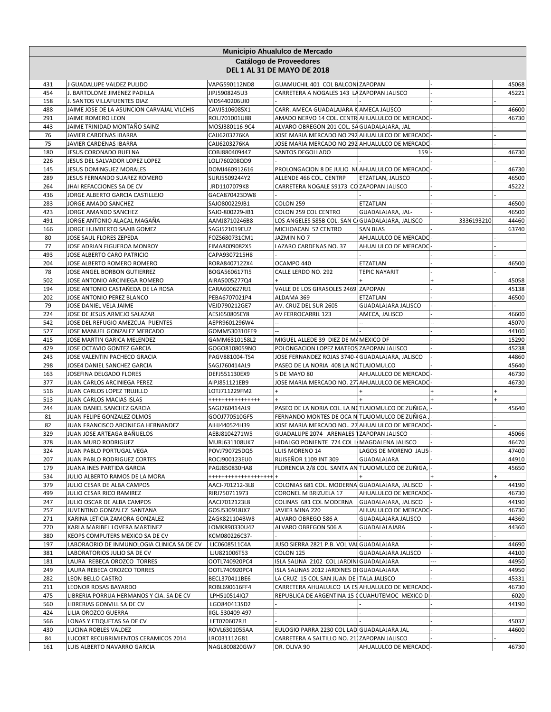|            | Municipio Ahualulco de Mercado<br>Catálogo de Proveedores        |                                  |                                                                                                |                                      |            |                |  |
|------------|------------------------------------------------------------------|----------------------------------|------------------------------------------------------------------------------------------------|--------------------------------------|------------|----------------|--|
|            |                                                                  |                                  | <b>DEL 1 AL 31 DE MAYO DE 2018</b>                                                             |                                      |            |                |  |
| 431        | J GUADALUPE VALDEZ PULIDO                                        | VAPG590112ND8                    | GUAMUCHIL 401 COL BALCON ZAPOPAN                                                               |                                      |            | 45068          |  |
| 454        | J. BARTOLOME JIMENEZ PADILLA                                     | JIPJ5908245U3                    | CARRETERA A NOGALES 143 LA ZAPOPAN JALISCO                                                     |                                      |            | 45221          |  |
| 158        | J. SANTOS VILLAFUENTES DIAZ                                      | VIDS440206UI0                    |                                                                                                |                                      |            |                |  |
| 488        | JAIME JOSE DE LA ASUNCION CARVAJAL VILCHIS                       | CAVJ5106085X1                    | CARR. AMECA GUADALAJARA KAMECA JALISCO                                                         |                                      |            | 46600          |  |
| 291<br>443 | JAIME ROMERO LEON<br>JAIME TRINIDAD MONTAÑO SAINZ                | ROLJ701001U88<br>MOSJ380116-9C4  | AMADO NERVO 14 COL. CENTRI AHUALULCO DE MERCADO<br>ALVARO OBREGON 201 COL. SA GUADALAJARA, JAL |                                      |            | 46730          |  |
| 76         | JAVIER CARDENAS IBARRA                                           | CAIJ6203276KA                    | JOSE MARIA MERCADO NO 292 AHUALULCO DE MERCADO                                                 |                                      |            |                |  |
| 75         | JAVIER CARDENAS IBARRA                                           | CAIJ6203276KA                    | JOSE MARIA MERCADO NO 292 AHUALULCO DE MERCADO                                                 |                                      |            |                |  |
| 180        | JESUS CORONADO BUELNA                                            | COBJ880409447                    | SANTOS DEGOLLADO                                                                               | 159                                  |            | 46730          |  |
| 226        | JESUS DEL SALVADOR LOPEZ LOPEZ                                   | LOLJ760208QD9                    |                                                                                                |                                      |            |                |  |
| 145        | JESUS DOMINGUEZ MORALES                                          | DOMJ460912616                    | PROLONGACION 8 DE JULIO NUAHUALULCO DE MERCADO                                                 |                                      |            | 46730          |  |
| 289        | JESUS FERNANDO SUAREZ ROMERO                                     | SURJ5509244Y2                    | ALLENDE 466 COL. CENTRP                                                                        | ETZATLAN, JALISCO                    |            | 46500          |  |
| 264        | JHAI REFACCIONES SA DE CV                                        | JRD1107079K8                     | CARRETERA NOGALE S9173 CO ZAPOPAN JALISCO                                                      |                                      |            | 45222          |  |
| 436        | JORGE ALBERTO GARCIA CASTILLEJO                                  | GACA870423DW8                    |                                                                                                |                                      |            |                |  |
| 283        | JORGE AMADO SANCHEZ                                              | SAJO800229JB1                    | <b>COLON 259</b>                                                                               | ETZATLAN                             |            | 46500          |  |
| 423<br>491 | JORGE AMANDO SANCHEZ<br>JORGE ANTONIO ALACAL MAGAÑA              | SAJO-800229-JB1<br>AAMJ8710246B8 | COLON 259 COL CENTRO<br>LOS ANGELES 585B COL. SAN C/GUADALAJARA, JALISCO                       | GUADALAJARA, JAL-                    | 3336193210 | 46500<br>44460 |  |
| 166        | JORGE HUMBERTO SAAIB GOMEZ                                       | SAGJ521019EU2                    | MICHOACAN 52 CENTRO                                                                            | <b>SAN BLAS</b>                      |            | 63740          |  |
| 80         | JOSE SAUL FLORES ZEPEDA                                          | FOZS680731CM1                    | JAZMIN NO 7                                                                                    | AHUALULCO DE MERCADO                 |            |                |  |
| 77         | JOSE ADRIAN FIGUEROA MONROY                                      | FIMA8009082X5                    | LAZARO CARDENAS NO. 37                                                                         | AHUALULCO DE MERCADO                 |            |                |  |
| 493        | JOSE ALBERTO CARO PATRICIO                                       | CAPA9307215H8                    |                                                                                                |                                      |            |                |  |
| 204        | JOSE ALBERTO ROMERO ROMERO                                       | RORA8407122X4                    | OCAMPO 440                                                                                     | ETZATLAN                             |            | 46500          |  |
| 78         | JOSE ANGEL BORBON GUTIERREZ                                      | BOGA560617TI5                    | CALLE LERDO NO. 292                                                                            | <b>TEPIC NAYARIT</b>                 |            |                |  |
| 502        | JOSE ANTONIO ARCINIEGA ROMERO                                    | AIRA5005277Q4                    |                                                                                                |                                      |            | 45058          |  |
| 194        | JOSE ANTONIO CASTAÑEDA DE LA ROSA                                | CARA600627RJ1                    | VALLE DE LOS GIRASOLES 2469 ZAPOPAN                                                            |                                      |            | 45138          |  |
| 202        | JOSE ANTONIO PEREZ BLANCO                                        | PEBA6707021P4                    | ALDAMA 369                                                                                     | ETZATLAN                             |            | 46500          |  |
| 79         | JOSE DANIEL VELA JAIME                                           | VEJD790212GE7                    | AV. CRUZ DEL SUR 2605                                                                          | GUADALAJARA JALISCO                  |            |                |  |
| 224        | JOSE DE JESUS ARMEJO SALAZAR                                     | AESJ650805EY8                    | AV FERROCARRIL 123                                                                             | AMECA, JALISCO                       |            | 46600          |  |
| 542<br>527 | JOSE DEL REFUGIO AMEZCUA PUENTES<br>JOSE MANUEL GONZALEZ MERCADO | AEPR9601296W4<br>GOMM530310FE9   |                                                                                                |                                      |            | 45070<br>44100 |  |
| 415        | JOSE MARTIN GARICA MELENDEZ                                      | GAMM6310158L2                    | MIGUEL ALLEDE 39 DIEZ DE MA MEXICO DF                                                          |                                      |            | 15290          |  |
| 429        | JOSE OCTAVIO GONTEZ GARCIA                                       | GOGO8108059NO                    | POLONGACION LOPEZ MATEOS ZAPOPAN JALISCO                                                       |                                      |            | 45238          |  |
| 243        | JOSE VALENTIN PACHECO GRACIA                                     | PAGV881004-TS4                   | JOSE FERNANDEZ ROJAS 3740-4 GUADALAJARA, JALISCO                                               |                                      |            | 44860          |  |
| 298        | JOSE4 DANIEL SANCHEZ GARCIA                                      | SAGJ760414AL9                    | PASEO DE LA NORIA 408 LA NOTLAJOMULCO                                                          |                                      |            | 45640          |  |
| 163        | JOSEFINA DELGADO FLORES                                          | DEFJ551130EX9                    | 5 DE MAYO 80                                                                                   | AHUALULCO DE MERCADO                 |            | 46730          |  |
| 377        | JUAN CARLOS ARCINIEGA PEREZ                                      | AIPJ851121EB9                    | JOSE MARIA MERCADO NO. 271 AHUALULCO DE MERCADO                                                |                                      |            | 46730          |  |
| 516        | JUAN CARLOS LOPEZ TRUJILLO                                       | LOTJ711229FM2                    |                                                                                                |                                      |            |                |  |
| 513        | JUAN CARLOS MACIAS ISLAS                                         | ****************                 |                                                                                                |                                      |            |                |  |
| 244        | JUAN DANIEL SANCHEZ GARCIA                                       | SAGJ760414AL9                    | PASEO DE LA NORIA COL. LA NOTLAJOMULCO DE ZUÑIGA,                                              |                                      |            | 45640          |  |
| 81<br>82   | JUAN FELIPE GONZALEZ OLMOS                                       | GOOJ770510GF5<br>AIHJ440524H39   | FERNANDO MONTES DE OCA N TLAJOMULCO DE ZUÑIGA<br>JOSE MARIA MERCADO NO 27 AHUALULCO DE MERCADO |                                      |            |                |  |
| 329        | JUAN FRANCISCO ARCINIEGA HERNANDEZ<br>JUAN JOSE ARTEAGA BAÑUELOS | AEBJ8104271W5                    | GUADALUPE 2074 ARENALES 1ZAPOPAN JALISCO                                                       |                                      |            | 45066          |  |
| 378        | <b>JUAN MURO RODRIGUEZ</b>                                       | MURJ631108UK7                    | HIDALGO PONIENTE 774 COL LA MAGDALENA JALISCO                                                  |                                      |            | 46470          |  |
| 324        | JUAN PABLO PORTUGAL VEGA                                         | POVJ790725DQ5                    | LUIS MORENO 14                                                                                 | LAGOS DE MORENO JALIS                |            | 47400          |  |
| 207        | JUAN PABLO RODRIGUEZ CORTES                                      | ROCJ900123EU0                    | <b>RUISEÑOR 1109 INT 309</b>                                                                   | GUADALAJARA                          |            | 44910          |  |
| 179        | JUANA INES PARTIDA GARCIA                                        | PAGJ850830HA8                    | FLORENCIA 2/8 COL. SANTA AN TLAJOMULCO DE ZUÑIGA,                                              |                                      |            | 45650          |  |
| 534        | JULIO ALBERTO RAMOS DE LA MORA                                   | ++++++++++++++++++++             |                                                                                                |                                      |            |                |  |
| 379        | JULIO CESAR DE ALBA CAMPOS                                       | AACJ-701212-3L8                  | COLONIAS 681 COL. MODERNA GUADALAJARA, JALISCO                                                 |                                      |            | 44190          |  |
| 499        | JULIO CESAR RICO RAMIREZ                                         | RIRJ750711973                    | CORONEL M BRIZUELA 17                                                                          | AHUALULCO DE MERCADO                 |            | 46730          |  |
| 247        | JULIO OSCAR DE ALBA CAMPOS                                       | AACJ7012123L8                    | COLINAS 681 COL MODERNA                                                                        | GUADALAJARA, JALISCO                 |            | 44190          |  |
| 257        | JUVENTINO GONZALEZ SANTANA                                       | GOSJ530918JX7                    | JAVIER MINA 220                                                                                | AHUALULCO DE MERCADO                 |            | 46730          |  |
| 271<br>270 | KARINA LETICIA ZAMORA GONZALEZ<br>KARLA MARIBEL LOVERA MARTINEZ  | ZAGK821104BW8<br>LOMK890330U42   | ALVARO OBREGO 586 A<br>ALVARO OBREGON 506 A                                                    | GUADALAJARA JALISCO<br>GUADALALAJARA |            | 44360<br>44360 |  |
| 380        | KEOPS COMPUTERS MEXICO SA DE CV                                  | KCM080226C37-                    |                                                                                                |                                      |            |                |  |
| 197        | LABORAORIO DE INMUNOLOGIA CLINICA SA DE CV                       | LIC0608511C4A                    | JUSO SIERRA 2821 P.B. VOL VAI GUADALAJARA                                                      |                                      |            | 44690          |  |
| 381        | LABORATORIOS JULIO SA DE CV                                      | LJU821006T53                     | COLON 125                                                                                      | GUADALAJARA JALISCO                  |            | 44100          |  |
| 181        | LAURA REBECA OROZCO TORRES                                       | OOTL740920PC4                    | ISLA SALINA 2102 COL JARDINI GUADALAJARA                                                       |                                      |            | 44950          |  |
| 249        | LAURA REBECA OROZCO TORRES                                       | OOTL740920PC4                    | ISLA SALINAS 2012 JARDINES DI GUADALAJARA                                                      |                                      |            | 44950          |  |
| 282        | LEON BELLO CASTRO                                                | BECL370411BE6                    | LA CRUZ 15 COL SAN JUAN DE TALA JALISCO                                                        |                                      |            | 45331          |  |
| 211        | LEONOR ROSAS BAYARDO                                             | ROBL690616FF4                    | CARRETERA AHUALULCO LA ES AHUALULCO DE MERCADO                                                 |                                      |            | 46730          |  |
| 475        | LIBRERIA PORRUA HERMANOS Y CIA. SA DE CV                         | LPH510514IQ7                     | REPUBLICA DE ARGENTINA 15 CCUAHUTEMOC MEXICO D                                                 |                                      |            | 6020           |  |
| 560        | LIBRERIAS GONVILL SA DE CV                                       | LGO840413SD2                     |                                                                                                |                                      |            | 44190          |  |
| 424<br>566 | LILIA OROZCO GUERRA<br>LONAS Y ETIQUETAS SA DE CV                | IIGL-530409-497<br>LET070607RJ1  |                                                                                                |                                      |            | 45037          |  |
| 430        | LUCINA ROBLES VALDEZ                                             | ROVL6301055AA                    | EULOGIO PARRA 2230 COL LAD GUADALAJARA JAL                                                     |                                      |            | 44600          |  |
| 84         | LUCORT RECUBRIMIENTOS CERAMICOS 2014                             | LRC031112G81                     | CARRETERA A SALTILLO NO. 211ZAPOPAN JALISCO                                                    |                                      |            |                |  |
| 161        | LUIS ALBERTO NAVARRO GARCIA                                      | NAGL800820GW7                    | DR. OLIVA 90                                                                                   | AHUALULCO DE MERCADO                 |            | 46730          |  |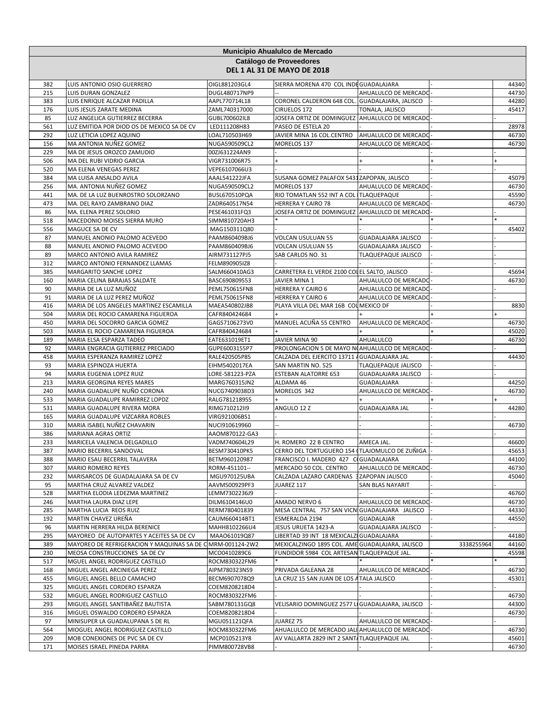|            | Municipio Ahualulco de Mercado<br>Catálogo de Proveedores       |                                |                                                                |                                              |            |                |  |
|------------|-----------------------------------------------------------------|--------------------------------|----------------------------------------------------------------|----------------------------------------------|------------|----------------|--|
|            |                                                                 |                                | <b>DEL 1 AL 31 DE MAYO DE 2018</b>                             |                                              |            |                |  |
| 382        | LUIS ANTONIO OSIO GUERRERO                                      | OIGL881203GL4                  | SIERRA MORENA 470 COL INDEGUADALAJARA                          |                                              |            | 44340          |  |
| 215        | LUIS DURAN GONZALEZ                                             | DUGL480717NP9                  |                                                                | AHUALULCO DE MERCADO                         |            | 44730          |  |
| 383<br>176 | LUIS ENRIQUE ALCAZAR PADILLA<br>LUIS JESUS ZARATE MEDINA        | AAPL770714L18<br>ZAML740317000 | CORONEL CALDERON 648 COL. GUADALAJARA, JALISCO<br>CIRUELOS 172 | TONALA, JALISCO                              |            | 44280<br>45417 |  |
| 85         | LUZ ANGELICA GUTIERREZ BECERRA                                  | GUBL700602IL8                  | JOSEFA ORTIZ DE DOMINGUEZ AHUALULCO DE MERCADO                 |                                              |            |                |  |
| 561        | LUZ EMITIDA POR DIOD OS DE MEXICO SA DE CV                      | LED111208H83                   | PASEO DE ESTELA 20                                             |                                              |            | 28978          |  |
| 292        | LUZ LETICIA LOPEZ AQUINO                                        | LOAL710503H69                  | JAVIER MINA 16 COL.CENTRO                                      | AHUALULCO DE MERCADO                         |            | 46730          |  |
| 156        | MA ANTONIA NUÑEZ GOMEZ                                          | NUGA590509CL2                  | MORELOS 137                                                    | AHUALULCO DE MERCADO                         |            | 46730          |  |
| 229        | MA DE JESUS OROZCO ZAMUDIO                                      | 00ZJ631224AN9                  |                                                                |                                              |            |                |  |
| 506        | MA DEL RUBI VIDRIO GARCIA                                       | VIGR731006R75                  |                                                                |                                              |            |                |  |
| 520        | MA ELENA VENEGAS PEREZ                                          | VEPE6107066U3                  |                                                                |                                              |            |                |  |
| 384        | MA LUISA ANSALDO AVILA                                          | AAAL541222JFA                  | SUSANA GOMEZ PALAFOX 5431 ZAPOPAN, JALISCO                     |                                              |            | 45079          |  |
| 256<br>441 | MA. ANTONIA NUÑEZ GOMEZ<br>MA. DE LA LUZ BUENROSTRO SOLORZANO   | NUGA590509CL2<br>BUSL670510PQA | MORELOS 137<br>RIO TOMATLAN 552 INT A COL ITLAQUEPAQUE         | AHUALULCO DE MERCADO                         |            | 46730<br>45590 |  |
| 473        | MA. DEL RAYO ZAMBRANO DIAZ                                      | ZADR640517N54                  | HERRERA Y CAIRO 78                                             | AHUALULCO DE MERCADO                         |            | 46730          |  |
| 86         | MA. ELENA PEREZ SOLORIO                                         | PESE461031FQ3                  | JOSEFA ORTIZ DE DOMINGUEZ                                      | AHUALULCO DE MERCADO                         |            |                |  |
| 518        | MACEDONIO MOISES SIERRA MURO                                    | SIMM810720AH3                  |                                                                |                                              |            |                |  |
| 556        | MAGUCE SA DE CV                                                 | MAG150311Q80                   |                                                                |                                              |            | 45402          |  |
| 87         | MANUEL ANONIO PALOMO ACEVEDO                                    | PAAM860409BJ6                  | <b>VOLCAN USULUAN 55</b>                                       | <b>GUADALAJARA JALISCO</b>                   |            |                |  |
| 88         | MANUEL ANONIO PALOMO ACEVEDO                                    | PAAM860409BJ6                  | <b>VOLCAN USULUAN 55</b>                                       | GUADALAJARA JALISCO                          |            |                |  |
| 89         | MARCO ANTONIO AVILA RAMIREZ                                     | AIRM731127PJ5                  | SAB CARLOS NO. 31                                              | TLAQUEPAQUE JALISCO                          |            |                |  |
| 312        | MARCO ANTONIO FERNANDEZ LLAMAS                                  | FELM890905IZ8                  |                                                                |                                              |            |                |  |
| 385        | MARGARITO SANCHE LOPEZ                                          | SALM660410AG3                  | CARRETERA EL VERDE 2100 COI EL SALTO, JALISCO                  |                                              |            | 45694          |  |
| 160        | MARIA CELINA BARAJAS SALDATE                                    | BASC690809S53                  | JAVIER MINA 1                                                  | AHUALULCO DE MERCADO                         |            | 46730          |  |
| 90<br>91   | MARIA DE LA LUZ MUÑOZ<br>MARIA DE LA LUZ PEREZ MUÑOZ            | PEML750615FN8<br>PEML750615FN8 | <b>HERRERA Y CAIRO 6</b><br><b>HERRERA Y CAIRO 6</b>           | AHUALULCO DE MERCADO<br>AHUALULCO DE MERCADO |            |                |  |
| 416        | MARIA DE LOS ANGELES MARTINEZ ESCAMILLA                         | MAEA540802JB8                  | PLAYA VILLA DEL MAR 16B COL MEXICO DF                          |                                              |            | 8830           |  |
| 504        | MARIA DEL ROCIO CAMARENA FIGUEROA                               | CAFR840424684                  |                                                                |                                              |            |                |  |
| 450        | MARIA DEL SOCORRO GARCIA GOMEZ                                  | GAGS7106273V0                  | MANUEL ACUÑA 55 CENTRO                                         | AHUALULCO DE MERCADO                         |            | 46730          |  |
| 503        | MARIA EL ROCIO CAMARENA FIGUEROA                                | CAFR840424684                  |                                                                |                                              |            | 45020          |  |
| 189        | MARIA ELSA ESPARZA TADEO                                        | EATE631019ET1                  | JAVIER MINA 90                                                 | AHUALULCO                                    |            | 46730          |  |
| 92         | MARIA ENGRACIA GUTIERREZ PRECIADO                               | GUPE6003155P7                  | PROLONGACION 5 DE MAYO NOAHUALULCO DE MERCADO                  |                                              |            |                |  |
| 458        | MARIA ESPERANZA RAMIREZ LOPEZ                                   | RALE420505P85                  | CALZADA DEL EJERCITO 13711 A GUADALAJARA JAL                   |                                              |            | 44430          |  |
| 93         | MARIA ESPINOZA HUERTA                                           | EIHM5402017EA                  | SAN MARTIN NO. 525                                             | <b>TLAQUEPAQUE JALISCO</b>                   |            |                |  |
| 94         | MARIA EUGENIA LOPEZ RUIZ                                        | LORE-581223-PZA                | <b>ESTEBAN ALATORRE 653</b>                                    | GUADALAJARA JALISCO                          |            |                |  |
| 213        | MARIA GEORGINA REYES MARES                                      | MARG760315JN2                  | ALDAMA 46                                                      | GUADALAJARA                                  |            | 44250          |  |
| 240<br>533 | MARIA GUADALUPE NUÑO CORONA<br>MARIA GUADALUPE RAMIRREZ LOPDZ   | NUCG7409038D3<br>RALG781218955 | MORELOS 342                                                    | AHUALULCO DE MERCADO                         |            | 46730          |  |
| 531        | MARIA GUADALUPE RIVERA MORA                                     | RIMG710212II9                  | ANGULO 12 Z                                                    | <b>GUADALAJARA JAL</b>                       |            | 44280          |  |
| 165        | MARIA GUADALUPE VIZCARRA ROBLES                                 | VIRG921006BS1                  |                                                                |                                              |            |                |  |
| 310        | MARIA ISABEL NUÑEZ CHAVARIN                                     | NUCI910619960                  |                                                                |                                              |            | 46730          |  |
| 386        | MARIANA AGRAS ORTIZ                                             | AAOM870122-GA3                 |                                                                |                                              |            |                |  |
| 233        | MARICELA VALENCIA DELGADILLO                                    | VADM740604L29                  | H. ROMERO 22 B CENTRO                                          | AMECA JAL.                                   |            | 46600          |  |
| 387        | MARIO BECERRIL SANDOVAL                                         | BESM730410PK5                  | CERRO DEL TORTUGUERO 154 (TLAJOMULCO DE ZUÑIGA                 |                                              |            | 45653          |  |
| 388        | MARIO ESAU BECERRIL TALAVERA                                    | BETM960120987                  | FRANCISCO I. MADERO 427 CIGUADALAJARA                          |                                              |            | 44100          |  |
| 307        | MARIO ROMERO REYES                                              | RORM-451101--                  | MERCADO 50 COL. CENTRO                                         | AHUALULCO DE MERCADO                         |            | 46730          |  |
| 232        | MARISARCOS DE GUADALAJARA SA DE CV                              | MGU970125UBA                   | CALZADA LAZARO CARDENAS 3ZAPOPAN JALISCO                       |                                              |            | 45040          |  |
| 95<br>528  | MARTHA CRUZ ALVAREZ VALDEZ<br>MARTHA ELODIA LEDEZMA MARTINEZ    | AAVM500929PF3<br>LEMM7302236J9 | JUAREZ 117                                                     | SAN BLAS NAYARIT                             |            | 46760          |  |
| 246        | MARTHA LAURA DIAZ LEPE                                          | DILM6104146U0                  | AMADO NERVO 6                                                  | AHUALULCO DE MERCADO                         |            | 46730          |  |
| 285        | MARTHA LUCIA REOS RUIZ                                          | RERM780401839                  | MESA CENTRAL 757 SAN VICN GUADALAJARA JALISCO                  |                                              |            | 44330          |  |
| 192        | MARTIN CHAVEZ UREÑA                                             | CAUM660414BT1                  | ESMERALDA 2194                                                 | <b>GUADALAJAR</b>                            |            | 44550          |  |
| 96         | MARTIN HERRERA HILDA BERENICE                                   | MAHH8102266U4                  | JESUS URUETA 1423-A                                            | <b>GUADALAJARA JALISCO</b>                   |            |                |  |
| 295        | MAYOREO DE AUTOPARTES Y ACEITES SA DE CV                        | MAA061019Q87                   | LIBERTAD 39 INT 18 MEXICALZI GUADALAJARA                       |                                              |            | 44180          |  |
| 389        | MAYOREO DE REFRIGERACION Y MAQUINAS SA DE C MRM-001124-2W2      |                                | MEXICALZINGO 1895 COL. AME GUADALAJARA, JALISCO                |                                              | 3338255964 | 44160          |  |
| 230        | MEOSA CONSTRUCCIONES SA DE CV                                   | MCO0410289C6                   | FUNDIDOR 5984 COL ARTESAN TLAQUEPAQUE JAL.                     |                                              |            | 45598          |  |
| 517        | MGUEL ANGEL RODRIGUEZ CASTILLO                                  | ROCM830322FM6                  |                                                                |                                              |            |                |  |
| 168        | MIGUEL ANGEL ARCINIEGA PEREZ                                    | AIPM780323NS9                  | PRIVADA GALEANA 28                                             | AHUALULCO DE MERCADO                         |            | 46730          |  |
| 455        | MIGUEL ANGEL BELLO CAMACHO                                      | BECM6907078Q9                  | LA CRUZ 15 SAN JUAN DE LOS A TALA JALISCO                      |                                              |            | 45301          |  |
| 325<br>532 | MIGUEL ANGEL CORDERO ESPARZA<br>MIGUEL ANGEL RODRIGUEZ CASTILLO | COEM8208218D4<br>ROCM830322FM6 |                                                                |                                              |            | 46730          |  |
| 293        | MIGUEL ANGEL SANTIBAÑEZ BAUTISTA                                | SABM780131GQ8                  | VELISARIO DOMINGUEZ 2577 LI GUADALAJARA, JALISCO               |                                              |            | 44300          |  |
| 316        | MIGUEL OSWALDO CORDERO ESPARZA                                  | COEM8208218D4                  |                                                                |                                              |            | 46730          |  |
| 97         | MINISUPER LA GUADALUPANA S DE RL                                | MGU051121QFA                   | JUAREZ 75                                                      | AHUALULCO DE MERCADO                         |            |                |  |
| 564        | MIOGUEL ANGEL RODRIGUEZ CASTILLO                                | ROCM830322FM6                  | AHUALULCO DE MERCADO JALI AHUALULCO DE MERCADO                 |                                              |            | 46730          |  |
| 209        | MOB CONEXIONES DE PVC SA DE CV                                  | MCP0105213Y8                   | AV VALLARTA 2829 INT 2 SANT/TLAQUEPAQUE JAL                    |                                              |            | 45601          |  |
| 171        | MOISES ISRAEL PINEDA PARRA                                      | PIMM800728VB8                  |                                                                |                                              |            | 46730          |  |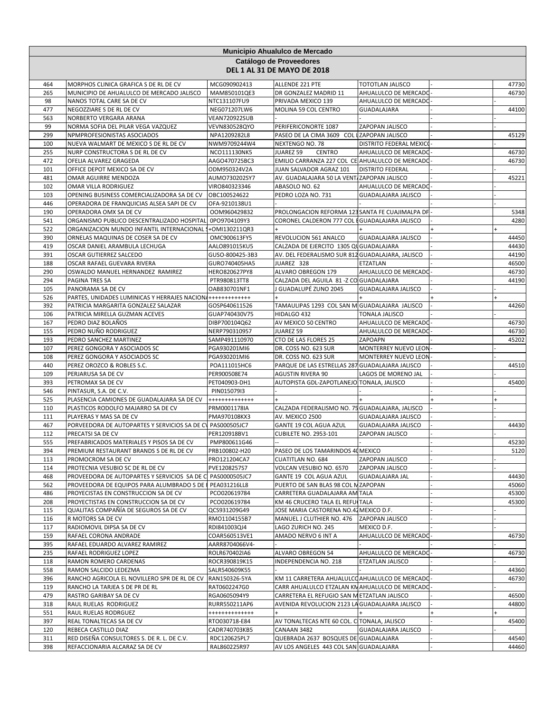| Municipio Ahualulco de Mercado<br>Catálogo de Proveedores |                                                                                                |                                  |                                                                                |                                          |  |                |
|-----------------------------------------------------------|------------------------------------------------------------------------------------------------|----------------------------------|--------------------------------------------------------------------------------|------------------------------------------|--|----------------|
|                                                           |                                                                                                |                                  | <b>DEL 1 AL 31 DE MAYO DE 2018</b>                                             |                                          |  |                |
| 464                                                       | MORPHOS CLINICA GRAFICA S DE RL DE CV                                                          | MCG090902413                     | ALLENDE 221 PTE                                                                | TOTOTLAN JALISCO                         |  | 47730          |
| 265                                                       | MUNICIPIO DE AHUALULCO DE MERCADO JALISCO                                                      | MAM850101QE3                     | DR GONZALEZ MADRID 11                                                          | AHUALULCO DE MERCADO                     |  | 46730          |
| 98                                                        | NANOS TOTAL CARE SA DE CV                                                                      | NTC131107FU9                     | PRIVADA MEXICO 139                                                             | AHUALULCO DE MERCADO                     |  |                |
| 477<br>563                                                | NEGOZZIARE S DE RL DE CV<br>NORBERTO VERGARA ARANA                                             | NEG071207LW6<br>VEAN720922SUB    | MOLINA 59 COL CENTRO                                                           | GUADALAJARA                              |  | 44100          |
| 99                                                        | NORMA SOFIA DEL PILAR VEGA VAZQUEZ                                                             | <b>VEVN830528QYO</b>             | PERIFERICONORTE 1087                                                           | ZAPOPAN JALISCO                          |  |                |
| 299                                                       | NPMPROFESIONISTAS ASOCIADOS                                                                    | NPA1209282L8                     | PASEO DE LA CIMA 3609 COL LZAPOPAN JALISCO                                     |                                          |  | 45129          |
| 100                                                       | NUEVA WALMART DE MEXICO S DE RL DE CV                                                          | NWM9709244W4                     | NEXTENGO NO. 78                                                                | DISTRITO FEDERAL MEXICO                  |  |                |
| 255                                                       | NURP CONSTRUCTORA S DE RL DE CV                                                                | NCO111130NK5                     | JUAREZ 59<br><b>CENTRO</b>                                                     | AHUALULCO DE MERCADO                     |  | 46730          |
| 472                                                       | OFELIA ALVAREZ GRAGEDA                                                                         | AAGO470725BC3                    | EMILIO CARRANZA 227 COL CE AHUALULCO DE MERCADO                                |                                          |  | 46730          |
| 101                                                       | OFFICE DEPOT MEXICO SA DE CV                                                                   | ODM950324V2A                     | JUAN SALVADOR AGRAZ 101                                                        | <b>DISTRITO FEDERAL</b>                  |  |                |
| 481<br>102                                                | OMAR AGUIRRE MENDOZA<br>OMAR VILLA RODRIGUEZ                                                   | AUMO730202SY7<br>VIRO840323346   | AV. GUADALAJARA 50 LA VENT ZAPOPAN JALISCO<br>ABASOLO NO. 62                   | AHUALULCO DE MERCADO                     |  | 45221          |
| 103                                                       | OPENING BUSINESS COMERCIALIZADORA SA DE CV                                                     | OBC100524622                     | PEDRO LOZA NO. 731                                                             | GUADALAJARA JALISCO                      |  |                |
| 446                                                       | OPERADORA DE FRANQUICIAS ALSEA SAPI DE CV                                                      | OFA-9210138U1                    |                                                                                |                                          |  |                |
| 190                                                       | OPERADORA OMX SA DE CV                                                                         | OOM960429832                     | PROLONGACION REFORMA 123 SANTA FE CUAJIMALPA DF                                |                                          |  | 5348           |
| 541                                                       | ORGANISMO PUBLICO DESCENTRALIZADO HOSPITAL                                                     | 0PO9704109Y3                     | CORONEL CALDERON 777 COL EGUADALAJARA JALISCO                                  |                                          |  | 4280           |
| 522                                                       | ORGANIZACION MUNDO INFANTIL INTERNACIONAL                                                      | +OMI130211QR3                    |                                                                                |                                          |  |                |
| 390                                                       | ORNELAS MAQUINAS DE COSER SA DE CV                                                             | OMC900613FY5                     | REVOLUCION 561 ANALCO                                                          | GUADALAJARA JALISCO                      |  | 44450          |
| 419                                                       | OSCAR DANIEL ARAMBULA LECHUGA                                                                  | AALO891015KU5                    | CALZADA DE EJERCITO 1305 QUGUADALAJARA                                         |                                          |  | 44430          |
| 391<br>188                                                | OSCAR GUTIERREZ SALCEDO<br>OSCAR RAFAEL GUEVARA RIVERA                                         | GUSO-800425-3B3<br>GURO740405HA5 | AV. DEL FEDERALISMO SUR 812 GUADALAJARA, JALISCO<br>JUAREZ 328                 | ETZATLAN                                 |  | 44190<br>46500 |
| 290                                                       | OSWALDO MANUEL HERNANDEZ RAMIREZ                                                               | <b>HERO820627PY8</b>             | ALVARO OBREGON 179                                                             | AHUALULCO DE MERCADO                     |  | 46730          |
| 294                                                       | PAGINA TRES SA                                                                                 | PTR980813TT8                     | CALZADA DEL AGUILA 81 - Z CO GUADALAJARA                                       |                                          |  | 44190          |
| 105                                                       | PANORAMA SA DE CV                                                                              | OAB830701NF1                     | J GUADALUPÉ ZUNO 2045                                                          | GUADALAJARA JALISCO                      |  |                |
| 526                                                       | PARTES, UNIDADES LUMINICAS Y HERRAJES NACION                                                   | +++++++++++++                    |                                                                                |                                          |  |                |
| 392                                                       | PATRICIA MARGARITA GONZALEZ SALAZAR                                                            | GOSP640611526                    | TAMAULIPAS 1293 COL SAN M GUADALAJARA JALISCO                                  |                                          |  | 44260          |
| 106                                                       | PATRICIA MIRELLA GUZMAN ACEVES                                                                 | GUAP740430V75                    | HIDALGO 432                                                                    | TONALA JALISCO                           |  |                |
| 167                                                       | PEDRO DIAZ BOLAÑOS                                                                             | DIBP700104Q62                    | AV MEXICO 50 CENTRO                                                            | AHUALULCO DE MERCADO                     |  | 46730          |
| 155                                                       | PEDRO NUÑO RODRIGUEZ                                                                           | NERP790310957                    | JUAREZ 59                                                                      | AHUALULCO DE MERCADO                     |  | 46730          |
| 193<br>107                                                | PEDRO SANCHEZ MARTINEZ<br>PEREZ GONGORA Y ASOCIADOS SC                                         | SAMP491110970<br>PGA930201MI6    | CTO DE LAS FLORES 25<br>DR. COSS NO. 623 SUR                                   | ZAPOAPN<br>MONTERREY NUEVO LEON          |  | 45202          |
| 108                                                       | PEREZ GONGORA Y ASOCIADOS SC                                                                   | PGA930201MI6                     | DR. COSS NO. 623 SUR                                                           | MONTERREY NUEVO LEON                     |  |                |
| 440                                                       | PEREZ OROZCO & ROBLES S.C.                                                                     | POA111015HC6                     | PARQUE DE LAS ESTRELLAS 287 GUADALAJARA JALISCO                                |                                          |  | 44510          |
| 109                                                       | PERJARUSA SA DE CV                                                                             | PER900508E74                     | <b>AGUSTIN RIVERA 90</b>                                                       | LAGOS DE MORENO JAL                      |  |                |
| 393                                                       | PETROMAX SA DE CV                                                                              | PET040903-DH1                    | AUTOPISTA GDL-ZAPOTLANEJO TONALA, JALISCO                                      |                                          |  | 45400          |
| 546                                                       | PINTASUR, S.A. DE C.V.                                                                         | PIN015079I3                      |                                                                                |                                          |  |                |
| 525                                                       | PLASENCIA CAMIONES DE GUADALAJARA SA DE CV                                                     | +++++++++++++                    |                                                                                |                                          |  |                |
| 110<br>111                                                | PLASTICOS RODOLFO MAJARRO SA DE CV<br>PLAYERAS Y MAS SA DE CV                                  | PRM0001178IA<br>PMA970108KX3     | CALZADA FEDERALISMO NO. 75 GUADALAJARA, JALISCO<br>AV. MEXICO 2500             | <b>GUADALAJARA JALISCO</b>               |  |                |
| 467                                                       | PORVEEDORA DE AUTOPARTES Y SERVICIOS SA DE CV PAS000505JC7                                     |                                  | GANTE 19 COL AGUA AZUL                                                         | GUADALAJARA JALISCO                      |  | 44430          |
| 112                                                       | PRECATSI SA DE CV                                                                              | PER120918BV1                     | <b>CUBILETE NO. 2953-101</b>                                                   | ZAPOPAN JALISCO                          |  |                |
| 555                                                       | PREFABRICADOS MATERIALES Y PISOS SA DE CV                                                      | PMP800611G46                     |                                                                                |                                          |  | 45230          |
| 394                                                       | PREMIUM RESTAURANT BRANDS S DE RL DE CV                                                        | PRB100802-H20                    | PASEO DE LOS TAMARINDOS 40 MEXICO                                              |                                          |  | 5120           |
| 113                                                       | PROMOCROM SA DE CV                                                                             | PRO121204CA7                     | <b>CUATITLAN NO. 684</b>                                                       | ZAPOPAN JALISCO                          |  |                |
| 114                                                       | PROTECNIA VESUBIO SC DE RL DE CV                                                               | PVE1208257S7                     | VOLCAN VESUBIO NO. 6570                                                        | ZAPOPAN JALISCO                          |  |                |
| 468                                                       | PROVEEDORA DE AUTOPARTES Y SERVICIOS SA DE C PAS0000505JC7                                     |                                  | GANTE 19 COL AGUA AZUL                                                         | <b>GUADALAJARA JAL</b>                   |  | 44430          |
| 562<br>486                                                | PROVEEDORA DE EQUIPOS PARA ALUMBRADO S DE PEA031216LL8<br>PROYECISTAS EN CONSTRUCCION SA DE CV | PCO020619784                     | PUERTO DE SAN BLAS 98 COL N ZAPOPAN<br>CARRETERA GUADALAJARA AM TALA           |                                          |  | 45060<br>45300 |
| 208                                                       | PROYECTISTAS EN CONSTRUCCION SA DE CV                                                          | PCO020619784                     | KM 46 CRUCERO TALA EL REFUCTALA                                                |                                          |  | 45300          |
| 115                                                       | QUALITAS COMPAÑÍA DE SEGUROS SA DE CV                                                          | QCS931209G49                     | JOSE MARIA CASTORENA NO.42 MEXICO D.F.                                         |                                          |  |                |
| 116                                                       | R MOTORS SA DE CV                                                                              | RMO1104155B7                     | MANUEL J CLUTHIER NO. 476                                                      | ZAPOPAN JALISCO                          |  |                |
| 117                                                       | RADIOMOVIL DIPSA SA DE CV                                                                      | RDI841003QJ4                     | LAGO ZURICH NO. 245                                                            | MEXICO D.F.                              |  |                |
| 159                                                       | RAFAEL CORONA ANDRADE                                                                          | COAR560513VE1                    | AMADO NERVO 6 INT A                                                            | AHUALULCO DE MERCADO                     |  | 46730          |
| 395                                                       | RAFAEL EDUARDO ALVAREZ RAMIREZ                                                                 | AARR8704066V4-                   |                                                                                |                                          |  |                |
| 235<br>118                                                | RAFAEL RODRIGUEZ LOPEZ<br>RAMON ROMERO CARDENAS                                                | ROLR670402IA6<br>ROCR390819K15   | ALVARO OBREGON 54<br>INDEPENDENCIA NO. 218                                     | AHUALULCO DE MERCADO<br>ETZATLAN JALISCO |  | 46730          |
| 558                                                       | RAMON SALCIDO LEDEZMA                                                                          | SALR540609K55                    |                                                                                |                                          |  | 44360          |
| 396                                                       | RANCHO AGRICOLA EL NOVILLERO SPR DE RL DE CV                                                   | RAN150326-5YA                    | KM 11 CARRETERA AHUALULCO AHUALULCO DE MERCADO                                 |                                          |  | 46730          |
| 119                                                       | RANCHO LA TARJEA S DE PR DE RL                                                                 | RAT0602247G0                     | CARR AHUALULCO ETZALAN KM AHUALULCO DE MERCADO                                 |                                          |  |                |
| 479                                                       | RASTRO GARIBAY SA DE CV                                                                        | RGA0605094Y9                     | CARRETERA EL REFUGIO SAN METZATLAN JALISCO                                     |                                          |  | 46500          |
| 318                                                       | RAUL RUELAS RODRIGUEZ                                                                          | RURR550211AP6                    | AVENIDA REVOLUCION 2123 LA GUADALAJARA JALISCO                                 |                                          |  | 44800          |
| 551                                                       | RAUL RUELAS RODRGUEZ                                                                           | +++++++++++++                    | $+$                                                                            |                                          |  | $\ddot{}$      |
| 397                                                       | REAL TONALTECAS SA DE CV                                                                       | RTO030718-E84                    | AV TONALTECAS NTE 60 COL. C TONALA, JALISCO                                    |                                          |  | 45400          |
| 120                                                       | REBECA CASTILLO DIAZ                                                                           | CADR740703KB5                    | CANAAN 3482                                                                    | GUADALAJARA JALISCO                      |  |                |
| 311<br>398                                                | RED DISEÑA CONSULTORES S. DE R. L. DE C.V.<br>REFACCIONARIA ALCARAZ SA DE CV                   | RDC120625PL7<br>RAL860225R97     | QUEBRADA 2637 BOSQUES DE GUADALAJARA<br>AV LOS ANGELES 443 COL SAN GUADALAJARA |                                          |  | 44540<br>44460 |
|                                                           |                                                                                                |                                  |                                                                                |                                          |  |                |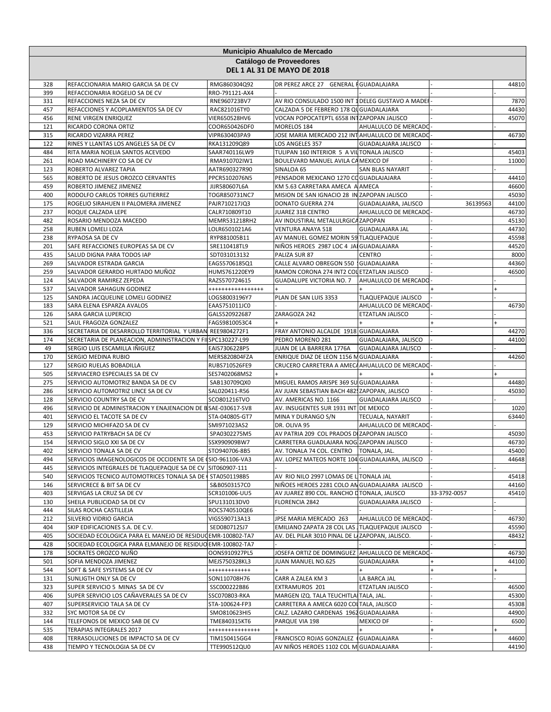|            |                                                                                               |                                  | Municipio Ahualulco de Mercado                                                                     |                            |              |                |
|------------|-----------------------------------------------------------------------------------------------|----------------------------------|----------------------------------------------------------------------------------------------------|----------------------------|--------------|----------------|
|            |                                                                                               |                                  | Catálogo de Proveedores                                                                            |                            |              |                |
|            |                                                                                               |                                  | <b>DEL 1 AL 31 DE MAYO DE 2018</b>                                                                 |                            |              |                |
| 328        | REFACCIONARIA MARIO GARCIA SA DE CV                                                           | RMG860304Q92                     | DR PEREZ ARCE 27 GENERAL FGUADALAJARA                                                              |                            |              | 44810          |
| 399<br>331 | REFACCIONARIA ROGELIO SA DE CV<br>REFACCIONES NEZA SA DE CV                                   | RRO-791121-AX4<br>RNE960723BV7   | AV RIO CONSULADO 1500 INT 1 DELEG GUSTAVO A MADER                                                  |                            |              | 7870           |
| 457        | REFACCIONES Y ACOPLAMIENTOS SA DE CV                                                          | RAC821016TY0                     | CALZADA 5 DE FEBRERO 178 QU GUADALAJARA                                                            |                            |              | 44430          |
| 456        | RENE VIRGEN ENRIQUEZ                                                                          | VIER650528HV6                    | VOCAN POPOCATEPTL 6558 INTZAPOPAN JALISCO                                                          |                            |              | 45070          |
| 121        | RICARDO CORONA ORTIZ                                                                          | COOR650426DF0                    | MORELOS 184                                                                                        | AHUALULCO DE MERCADO       |              |                |
| 315        | RICARDO VIZARRA PEREZ                                                                         | VIPR630403PA9                    | JOSE MARIA MERCADO 212 INTAHUALULCO DE MERCADO                                                     |                            |              | 46730          |
| 122        | RINES Y LLANTAS LOS ANGELES SA DE CV                                                          | RKA131209Q89                     | LOS ANGELES 357                                                                                    | <b>GUADALAJARA JALISCO</b> |              |                |
| 484        | RITA MARIA NOELIA SANTOS ACEVEDO                                                              | SAAR740116LW9                    | TULIPAN 160 INTERIOR 5 A VILTONALA JALISCO                                                         |                            |              | 45403          |
| 261        | ROAD MACHINERY CO SA DE CV                                                                    | RMA910702IW1                     | BOULEVARD MANUEL AVILA CA MEXICO DF                                                                |                            |              | 11000          |
| 123<br>565 | ROBERTO ALVAREZ TAPIA<br>ROBERTO DE JESUS OROZCO CERVANTES                                    | AATR690327R90<br>PPCR5102076N5   | SINALOA 65<br>PENSADOR MEXICANO 1270 CO GUADLAJAJARA                                               | SAN BLAS NAYARIT           |              | 44410          |
| 459        | ROBERTO JIMENEZ JIMENEZ                                                                       | JIJR580607L6A                    | KM 5.63 CARRETARA AMECA A AMECA                                                                    |                            |              | 46600          |
| 400        | RODOLFO CARLOS TORRES GUTIERREZ                                                               | TOGR850731NC7                    | MISION DE SAN IGNACIO 28 IN ZAPOPAN JALISCO                                                        |                            |              | 45030          |
| 175        | ROGELIO SIRAHUEN II PALOMERA JIMENEZ                                                          | PAJR710217JQ3                    | DONATO GUERRA 274                                                                                  | GUADALAJARA, JALISCO       | 36139563     | 44100          |
| 237        | ROQUE CALZADA LEPE                                                                            | CALR710809T10                    | JUAREZ 318 CENTRO                                                                                  | AHUALULCO DE MERCADO       |              | 46730          |
| 482        | ROSARIO MENDOZA MACEDO                                                                        | MEMR531218RH2                    | AV INDUSTIRAL METALULRGICA ZAPOPAN                                                                 |                            |              | 45130          |
| 258        | RUBEN LOMELI LOZA                                                                             | LOLR6501021A6                    | <b>VENTURA ANAYA 518</b>                                                                           | <b>GUADALAJARA JAL</b>     |              | 44730          |
| 238        | RYPAOSA SA DE CV                                                                              | RYP881005B11                     | AV MANUEL GOMEZ MORIN 59 TLAQUEPAQUE                                                               |                            |              | 45598          |
| 201        | SAFE REFACCIONES EUROPEAS SA DE CV                                                            | SRE110418TL9                     | NIÑOS HEROES 2987 LOC 4 JAI GUADALAJARA                                                            |                            |              | 44520          |
| 435        | SALUD DIGNA PARA TODOS IAP                                                                    | SDT031013132                     | PALIZA SUR 87                                                                                      | <b>CENTRO</b>              |              | 8000           |
| 269<br>259 | SALVADOR ESTRADA GARCIA<br>SALVADOR GERARDO HURTADO MUÑOZ                                     | EAGS5706185Q1<br>HUMS761220EY9   | CALLE ALVARO OBREGON 550   GUADALAJARA<br>RAMON CORONA 274 INT2 COL ETZATLAN JALISCO               |                            |              | 44360<br>46500 |
| 124        | SALVADOR RAMIREZ ZEPEDA                                                                       | RAZS570724615                    | <b>GUADALUPE VICTORIA NO. 7</b>                                                                    | AHUALULCO DE MERCADO       |              |                |
| 537        | SALVADOR SAHAGUN GODINEZ                                                                      | *****************                |                                                                                                    |                            |              |                |
| 125        | SANDRA JACQUELINE LOMELI GODINEZ                                                              | LOGS8003196Y7                    | PLAN DE SAN LUIS 3353                                                                              | <b>TLAQUEPAQUE JALISCO</b> |              |                |
| 183        | SARA ELENA ESPARZA AVALOS                                                                     | EAAS751011JC0                    |                                                                                                    | AHUALULCO DE MERCADO       |              | 46730          |
| 126        | <b>SARA GARCIA LUPERCIO</b>                                                                   | GALS520922687                    | ZARAGOZA 242                                                                                       | <b>ETZATLAN JALISCO</b>    |              |                |
| 521        | SAUL FRAGOZA GONZALEZ                                                                         | FAGS9810053C4                    |                                                                                                    |                            |              |                |
| 336        | SECRETARIA DE DESARROLLO TERRITORIAL Y URBAN                                                  | REE9804272F1                     | FRAY ANTONIO ALCALDE 1918 GUADALAJARA                                                              |                            |              | 44270          |
| 174        | SECRETARIA DE PLANEACION, ADMINISTRACION Y FILSPC130227-L99                                   |                                  | PEDRO MORENO 281                                                                                   | GUADALAJARA, JALISCO       |              | 44100          |
| 49         | SERGIO LUIS ESCAMILLA IÑIGUEZ                                                                 | EAIS7306228P5                    | JUAN DE LA BARRERA 1776A                                                                           | <b>GUADALAJARA JALISCO</b> |              |                |
| 170<br>127 | SERGIO MEDINA RUBIO<br>SERGIO RUELAS BOBADILLA                                                | MERS820804FZA<br>RUBS710526FE9   | ENRIQUE DIAZ DE LEON 1156 M GUADALAJARA<br>CRUCERO CARRETERA A AMECA AHUALULCO DE MERCADO          |                            |              | 44260          |
| 505        | SERVIACERO ESPECIALES SA DE CV                                                                | SES7402068MS2                    |                                                                                                    |                            |              |                |
| 275        | SERVICIO AUTOMOTRIZ BANDA SA DE CV                                                            | SAB130709QX0                     | MIGUEL RAMOS ARISPE 369 SU GUADALAJARA                                                             |                            |              | 44480          |
| 286        | SERVICIO AUTOMOTRIZ LINCE SA DE CV                                                            | SAL020411-R56                    | AV JUAN SEBASTIAN BACH 4825 ZAPOPAN, JALISCO                                                       |                            |              | 45030          |
| 128        | SERVICIO COUNTRY SA DE CV                                                                     | SCO801216TVO                     | AV. AMERICAS NO. 1166                                                                              | <b>GUADALAJARA JALISCO</b> |              |                |
| 496        | SERVICIO DE ADMINISTRACION Y ENAJENACION DE B SAE-030617-SV8                                  |                                  | AV. INSUGENTES SUR 1931 INT DE MEXICO                                                              |                            |              | 1020           |
| 401        | SERVICIO EL TACOTE SA DE CV                                                                   | STA-040805-GT7                   | MINA Y DURANGO S/N                                                                                 | TECUALA, NAYARIT           |              | 63440          |
| 129        | SERVICIO MICHIFAZO SA DE CV                                                                   | SMI971023AS2                     | DR. OLIVA 95                                                                                       | AHUALULCO DE MERCADO       |              |                |
| 453        | SERVICIO PATRYBACH SA DE CV                                                                   | SPA0302275M5                     | AV PATRIA 209 COL PRADOS DI ZAPOPAN JALISCO                                                        |                            |              | 45030          |
| 154        | SERVICIO SIGLO XXI SA DE CV                                                                   | SSX990909BW7                     | CARRETERA GUADLAJARA NOG ZAPOPAN JALISCO                                                           |                            |              | 46730          |
| 402<br>494 | SERVICIO TONALA SA DE CV<br>SERVICIOS IMAGENOLOGICOS DE OCCIDENTE SA DE (SIO-961106-VA3       | STO940706-8B5                    | AV. TONALA 74 COL. CENTRO<br>AV. LOPEZ MATEOS NORTE 104 GUADALAJARA, JALISCO                       | TONALA, JAL.               |              | 45400<br>44648 |
| 445        | SERVICIOS INTEGRALES DE TLAQUEPAQUE SA DE CV                                                  | SIT060907-111                    |                                                                                                    |                            |              |                |
| 540        | SERVICIOS TECNICO AUTOMOTRICES TONALA SA DE STA0501198B5                                      |                                  | AV RIO NILO 2997 LOMAS DE L TONALA JAL                                                             |                            |              | 45418          |
| 146        | SERVICRECE & BIT SA DE CV                                                                     | S&B0503157C0                     | NIÑOES HEROES 2281 COLO AN GUADALAJARA JALISCO                                                     |                            |              | 44160          |
| 403        | SERVIGAS LA CRUZ SA DE CV                                                                     | SCR101006-UU5                    | AV JUAREZ 890 COL. RANCHO LITONALA, JALISCO                                                        |                            | 33-3792-0057 | 45410          |
| 130        | SHEILA PUBLICIDAD SA DE CV                                                                    | SPU131013DV0                     | FLORENCIA 2842                                                                                     | GUADALAJARA JALISCO        |              |                |
| 444        | SILAS ROCHA CASTILLEJA                                                                        | ROCS740510QE6                    |                                                                                                    |                            |              |                |
| 212        | SILVERIO VIDRIO GARCIA                                                                        | VIGS590713A13                    | JPSE MARIA MERCADO 263                                                                             | AHUALULCO DE MERCADO       |              | 46730          |
| 404<br>405 | SKIP EDIFICACIONES S.A. DE C.V.<br>SOCIEDAD ECOLOGICA PARA EL MANEJO DE RESIDUCEMR-100802-TA7 | SED080712SJ7                     | EMILIANO ZAPATA 28 COL LAS JTLAQUEPAQUE JALISCO<br>AV. DEL PILAR 3010 PINAL DE LIZAPOPAN, JALISCO. |                            |              | 45590<br>48432 |
| 428        | SOCIEDAD ECOLOGICA PARA ELMANEJO DE RESIDUO EMR-100802-TA7                                    |                                  |                                                                                                    |                            |              |                |
| 178        | SOCRATES OROZCO NUÑO                                                                          | OONS910927PL5                    | JOSEFA ORTIZ DE DOMINGUEZ                                                                          | AHUALULCO DE MERCADO       |              | 46730          |
| 501        | SOFIA MENDOZA JIMENEZ                                                                         | MEJS750328KL3                    | JUAN MANUEL NO.625                                                                                 | GUADALAJARA                |              | 44100          |
| 544        | SOFT & SAFE SYSTEMS SA DE CV                                                                  | ++++++++++++                     |                                                                                                    |                            |              |                |
| 131        | SUNLIGTH ONLY SA DE CV                                                                        | SON110708H76                     | CARR A ZALEA KM 3                                                                                  | LA BARCA JAL               |              |                |
| 323        | SUPER SERVICIO 5 MINAS SA DE CV                                                               | SSC000222B86                     | EXTRAMUROS 201                                                                                     | ETZATLAN JALISCO           |              | 46500          |
| 406        | SUPER SERVICIO LOS CAÑAVERALES SA DE CV                                                       | SSC070803-RKA                    | MARGEN IZQ. TALA TEUCHITLA TALA, JAL.                                                              |                            |              | 45300          |
| 407        | SUPERSERVICIO TALA SA DE CV                                                                   | STA-100624-FP3                   | CARRETERA A AMECA 6020 COLTALA, JALISCO                                                            |                            |              | 45308          |
| 332        | SYC MOTOR SA DE CV                                                                            | SMO810623HI5                     | CALZ. LAZARO CARDENAS 1962 GUADALAJARA                                                             |                            |              | 44900          |
| 144<br>535 | TELEFONOS DE MEXICO SAB DE CV<br>TERAPIAS INTEGRALES 2017                                     | TME840315KT6<br>**************** | PARQUE VIA 198                                                                                     | MEXICO DF                  |              | 6500           |
| 408        | TERRASOLUCIONES DE IMPACTO SA DE CV                                                           | TIM150415GG4                     | FRANCISCO ROJAS GONZALEZ (GUADALAJARA                                                              |                            |              | 44600          |
| 438        | TIEMPO Y TECNOLOGIA SA DE CV                                                                  | TTE990512QU0                     | AV NIÑOS HEROES 1102 COL M GUADALAJARA                                                             |                            |              | 44190          |